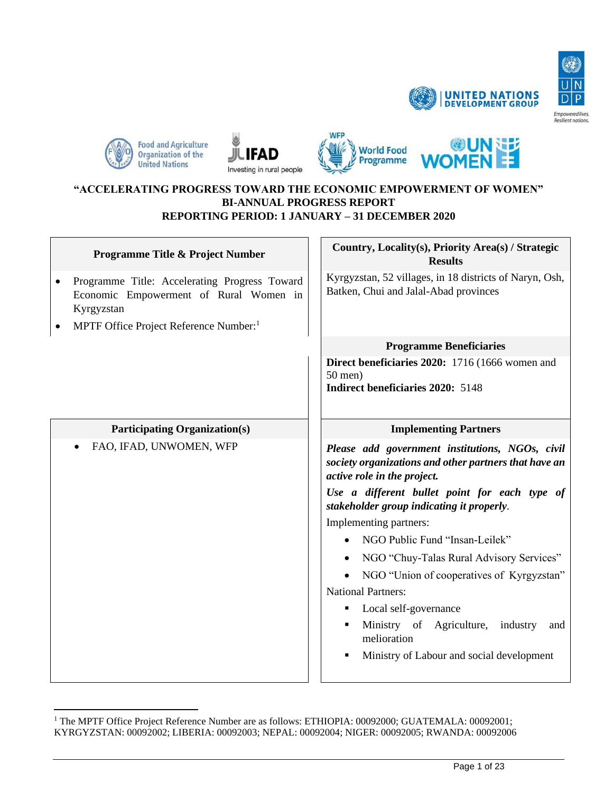

出









#### **"ACCELERATING PROGRESS TOWARD THE ECONOMIC EMPOWERMENT OF WOMEN" BI-ANNUAL PROGRESS REPORT REPORTING PERIOD: 1 JANUARY – 31 DECEMBER 2020**

| Programme Title & Project Number                                                                                                                                         | Country, Locality(s), Priority Area(s) / Strategic<br><b>Results</b>                                                                                                                                                                                                                                                                                                                                                                                                                                                                                             |
|--------------------------------------------------------------------------------------------------------------------------------------------------------------------------|------------------------------------------------------------------------------------------------------------------------------------------------------------------------------------------------------------------------------------------------------------------------------------------------------------------------------------------------------------------------------------------------------------------------------------------------------------------------------------------------------------------------------------------------------------------|
| Programme Title: Accelerating Progress Toward<br>$\bullet$<br>Economic Empowerment of Rural Women in<br>Kyrgyzstan<br>MPTF Office Project Reference Number: <sup>1</sup> | Kyrgyzstan, 52 villages, in 18 districts of Naryn, Osh,<br>Batken, Chui and Jalal-Abad provinces                                                                                                                                                                                                                                                                                                                                                                                                                                                                 |
|                                                                                                                                                                          | <b>Programme Beneficiaries</b>                                                                                                                                                                                                                                                                                                                                                                                                                                                                                                                                   |
|                                                                                                                                                                          | Direct beneficiaries 2020: 1716 (1666 women and<br>$50$ men)<br>Indirect beneficiaries 2020: 5148                                                                                                                                                                                                                                                                                                                                                                                                                                                                |
| <b>Participating Organization(s)</b>                                                                                                                                     | <b>Implementing Partners</b>                                                                                                                                                                                                                                                                                                                                                                                                                                                                                                                                     |
| FAO, IFAD, UNWOMEN, WFP                                                                                                                                                  | Please add government institutions, NGOs, civil<br>society organizations and other partners that have an<br>active role in the project.<br>Use a different bullet point for each type of<br>stakeholder group indicating it properly.<br>Implementing partners:<br>NGO Public Fund "Insan-Leilek"<br>NGO "Chuy-Talas Rural Advisory Services"<br>NGO "Union of cooperatives of Kyrgyzstan"<br><b>National Partners:</b><br>Local self-governance<br>٠<br>Ministry of Agriculture,<br>industry<br>and<br>melioration<br>Ministry of Labour and social development |

<sup>&</sup>lt;sup>1</sup> The MPTF Office Project Reference Number are as follows: ETHIOPIA: 00092000; GUATEMALA: 00092001; KYRGYZSTAN: 00092002; LIBERIA: 00092003; NEPAL: 00092004; NIGER: 00092005; RWANDA: 00092006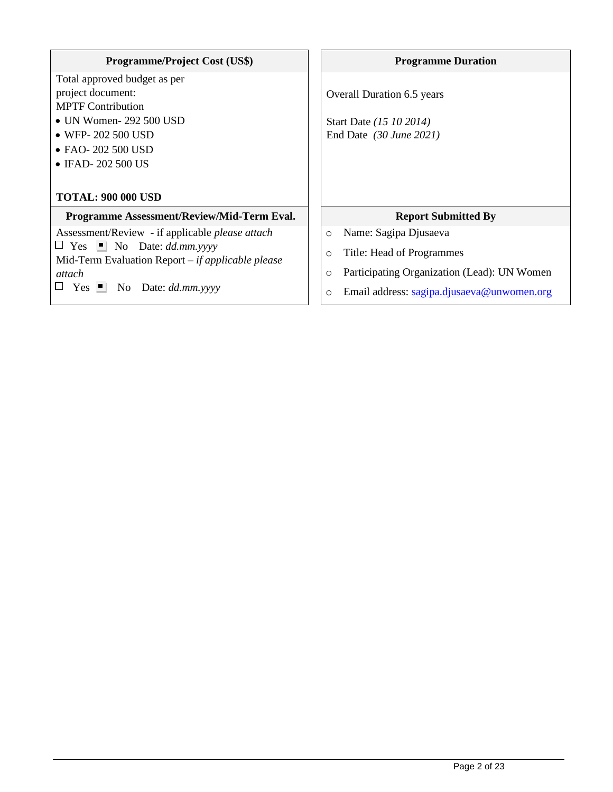| <b>Programme/Project Cost (US\$)</b> |  |
|--------------------------------------|--|
|                                      |  |

Total approved budget as per project document: MPTF Contribution

- UN Women- 292 500 USD
- WFP- 202 500 USD
- FAO- 202 500 USD
- IFAD- 202 500 US

# **TOTAL: 900 000 USD**

#### **Programme Assessment/Review/Mid-Term Eval.** | Report Submitted By

Assessment/Review - if applicable *please attach*

 $\Box$  Yes  $\Box$  No Date: *dd.mm.yyyy* 

Mid-Term Evaluation Report *– if applicable please* 

*attach*

Yes No Date: *dd.mm.yyyy*

### **Programme Duration**

Overall Duration 6.5 years

Start Date *(15 10 2014)* End Date *(30 June 2021)*

- o Name: Sagipa Djusaeva
- o Title: Head of Programmes
- o Participating Organization (Lead): UN Women
- o Email address: [sagipa.djusaeva@unwomen.org](mailto:sagipa.djusaeva@unwomen.org)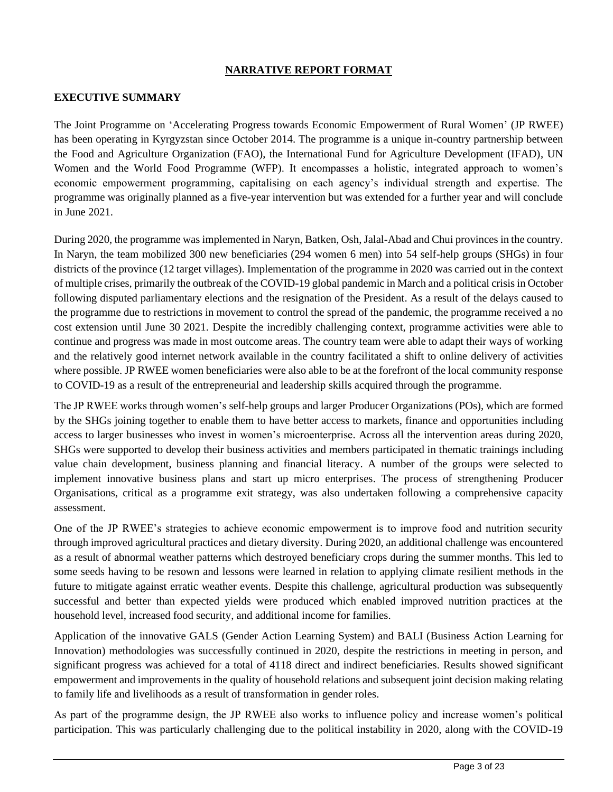# **NARRATIVE REPORT FORMAT**

#### **EXECUTIVE SUMMARY**

The Joint Programme on 'Accelerating Progress towards Economic Empowerment of Rural Women' (JP RWEE) has been operating in Kyrgyzstan since October 2014. The programme is a unique in-country partnership between the Food and Agriculture Organization (FAO), the International Fund for Agriculture Development (IFAD), UN Women and the World Food Programme (WFP). It encompasses a holistic, integrated approach to women's economic empowerment programming, capitalising on each agency's individual strength and expertise. The programme was originally planned as a five-year intervention but was extended for a further year and will conclude in June 2021.

During 2020, the programme was implemented in Naryn, Batken, Osh, Jalal-Abad and Chui provinces in the country. In Naryn, the team mobilized 300 new beneficiaries (294 women 6 men) into 54 self-help groups (SHGs) in four districts of the province (12 target villages). Implementation of the programme in 2020 was carried out in the context of multiple crises, primarily the outbreak of the COVID-19 global pandemic in March and a political crisis in October following disputed parliamentary elections and the resignation of the President. As a result of the delays caused to the programme due to restrictions in movement to control the spread of the pandemic, the programme received a no cost extension until June 30 2021. Despite the incredibly challenging context, programme activities were able to continue and progress was made in most outcome areas. The country team were able to adapt their ways of working and the relatively good internet network available in the country facilitated a shift to online delivery of activities where possible. JP RWEE women beneficiaries were also able to be at the forefront of the local community response to COVID-19 as a result of the entrepreneurial and leadership skills acquired through the programme.

The JP RWEE works through women's self-help groups and larger Producer Organizations (POs), which are formed by the SHGs joining together to enable them to have better access to markets, finance and opportunities including access to larger businesses who invest in women's microenterprise. Across all the intervention areas during 2020, SHGs were supported to develop their business activities and members participated in thematic trainings including value chain development, business planning and financial literacy. A number of the groups were selected to implement innovative business plans and start up micro enterprises. The process of strengthening Producer Organisations, critical as a programme exit strategy, was also undertaken following a comprehensive capacity assessment.

One of the JP RWEE's strategies to achieve economic empowerment is to improve food and nutrition security through improved agricultural practices and dietary diversity. During 2020, an additional challenge was encountered as a result of abnormal weather patterns which destroyed beneficiary crops during the summer months. This led to some seeds having to be resown and lessons were learned in relation to applying climate resilient methods in the future to mitigate against erratic weather events. Despite this challenge, agricultural production was subsequently successful and better than expected yields were produced which enabled improved nutrition practices at the household level, increased food security, and additional income for families.

Application of the innovative GALS (Gender Action Learning System) and BALI (Business Action Learning for Innovation) methodologies was successfully continued in 2020, despite the restrictions in meeting in person, and significant progress was achieved for a total of 4118 direct and indirect beneficiaries. Results showed significant empowerment and improvements in the quality of household relations and subsequent joint decision making relating to family life and livelihoods as a result of transformation in gender roles.

As part of the programme design, the JP RWEE also works to influence policy and increase women's political participation. This was particularly challenging due to the political instability in 2020, along with the COVID-19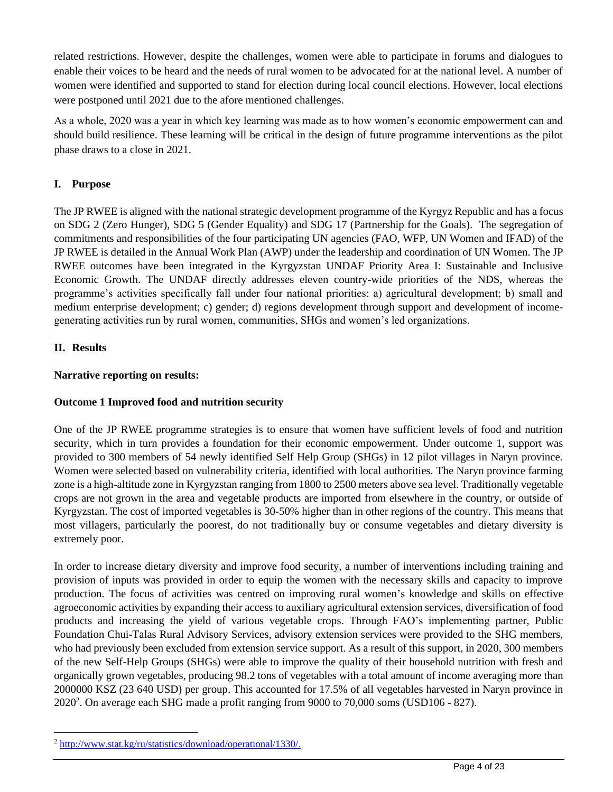related restrictions. However, despite the challenges, women were able to participate in forums and dialogues to enable their voices to be heard and the needs of rural women to be advocated for at the national level. A number of women were identified and supported to stand for election during local council elections. However, local elections were postponed until 2021 due to the afore mentioned challenges.

As a whole, 2020 was a year in which key learning was made as to how women's economic empowerment can and should build resilience. These learning will be critical in the design of future programme interventions as the pilot phase draws to a close in 2021.

# **I. Purpose**

The JP RWEE is aligned with the national strategic development programme of the Kyrgyz Republic and has a focus on SDG 2 (Zero Hunger), SDG 5 (Gender Equality) and SDG 17 (Partnership for the Goals). The segregation of commitments and responsibilities of the four participating UN agencies (FAO, WFP, UN Women and IFAD) of the JP RWEE is detailed in the Annual Work Plan (AWP) under the leadership and coordination of UN Women. The JP RWEE outcomes have been integrated in the Kyrgyzstan UNDAF Priority Area I: Sustainable and Inclusive Economic Growth. The UNDAF directly addresses eleven country-wide priorities of the NDS, whereas the programme's activities specifically fall under four national priorities: a) agricultural development; b) small and medium enterprise development; c) gender; d) regions development through support and development of incomegenerating activities run by rural women, communities, SHGs and women's led organizations.

# **II. Results**

# **Narrative reporting on results:**

# **Outcome 1 Improved food and nutrition security**

One of the JP RWEE programme strategies is to ensure that women have sufficient levels of food and nutrition security, which in turn provides a foundation for their economic empowerment. Under outcome 1, support was provided to 300 members of 54 newly identified Self Help Group (SHGs) in 12 pilot villages in Naryn province. Women were selected based on vulnerability criteria, identified with local authorities. The Naryn province farming zone is a high-altitude zone in Kyrgyzstan ranging from 1800 to 2500 meters above sea level. Traditionally vegetable crops are not grown in the area and vegetable products are imported from elsewhere in the country, or outside of Kyrgyzstan. The cost of imported vegetables is 30-50% higher than in other regions of the country. This means that most villagers, particularly the poorest, do not traditionally buy or consume vegetables and dietary diversity is extremely poor.

In order to increase dietary diversity and improve food security, a number of interventions including training and provision of inputs was provided in order to equip the women with the necessary skills and capacity to improve production. The focus of activities was centred on improving rural women's knowledge and skills on effective agroeconomic activities by expanding their access to auxiliary agricultural extension services, diversification of food products and increasing the yield of various vegetable crops. Through FAO's implementing partner, Public Foundation Chui-Talas Rural Advisory Services, advisory extension services were provided to the SHG members, who had previously been excluded from extension service support. As a result of this support, in 2020, 300 members of the new Self-Help Groups (SHGs) were able to improve the quality of their household nutrition with fresh and organically grown vegetables, producing 98.2 tons of vegetables with a total amount of income averaging more than 2000000 KSZ (23 640 USD) per group. This accounted for 17.5% of all vegetables harvested in Naryn province in  $2020<sup>2</sup>$ . On average each SHG made a profit ranging from 9000 to 70,000 soms (USD106 - 827).

<sup>2</sup> [http://www.stat.kg/ru/statistics/download/operational/1330/.](http://www.stat.kg/ru/statistics/download/operational/1330/)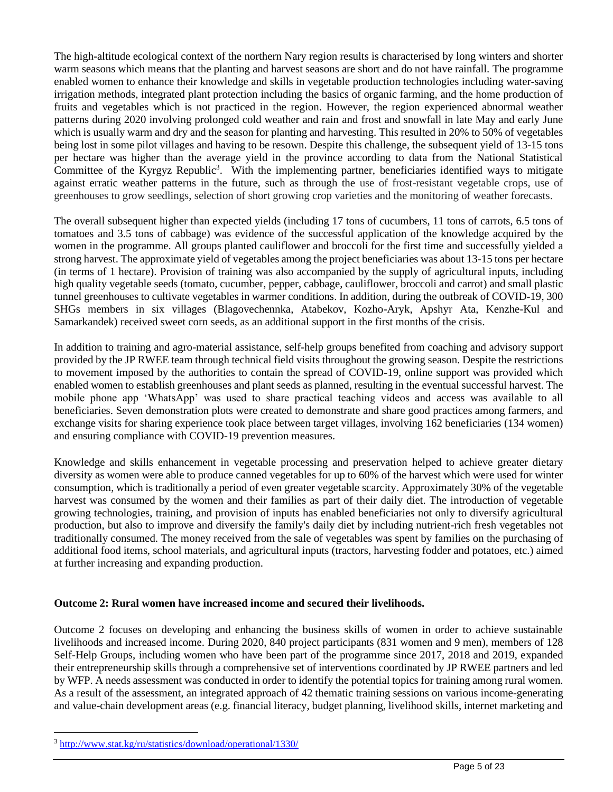The high-altitude ecological context of the northern Nary region results is characterised by long winters and shorter warm seasons which means that the planting and harvest seasons are short and do not have rainfall. The programme enabled women to enhance their knowledge and skills in vegetable production technologies including water-saving irrigation methods, integrated plant protection including the basics of organic farming, and the home production of fruits and vegetables which is not practiced in the region. However, the region experienced abnormal weather patterns during 2020 involving prolonged cold weather and rain and frost and snowfall in late May and early June which is usually warm and dry and the season for planting and harvesting. This resulted in 20% to 50% of vegetables being lost in some pilot villages and having to be resown. Despite this challenge, the subsequent yield of 13-15 tons per hectare was higher than the average yield in the province according to data from the National Statistical Committee of the Kyrgyz Republic<sup>3</sup>. With the implementing partner, beneficiaries identified ways to mitigate against erratic weather patterns in the future, such as through the use of frost-resistant vegetable crops, use of greenhouses to grow seedlings, selection of short growing crop varieties and the monitoring of weather forecasts.

The overall subsequent higher than expected yields (including 17 tons of cucumbers, 11 tons of carrots, 6.5 tons of tomatoes and 3.5 tons of cabbage) was evidence of the successful application of the knowledge acquired by the women in the programme. All groups planted cauliflower and broccoli for the first time and successfully yielded a strong harvest. The approximate yield of vegetables among the project beneficiaries was about 13-15 tons per hectare (in terms of 1 hectare). Provision of training was also accompanied by the supply of agricultural inputs, including high quality vegetable seeds (tomato, cucumber, pepper, cabbage, cauliflower, broccoli and carrot) and small plastic tunnel greenhouses to cultivate vegetables in warmer conditions. In addition, during the outbreak of COVID-19, 300 SHGs members in six villages (Blagovechennka, Atabekov, Kozho-Aryk, Apshyr Ata, Kenzhe-Kul and Samarkandek) received sweet corn seeds, as an additional support in the first months of the crisis.

In addition to training and agro-material assistance, self-help groups benefited from coaching and advisory support provided by the JP RWEE team through technical field visits throughout the growing season. Despite the restrictions to movement imposed by the authorities to contain the spread of COVID-19, online support was provided which enabled women to establish greenhouses and plant seeds as planned, resulting in the eventual successful harvest. The mobile phone app 'WhatsApp' was used to share practical teaching videos and access was available to all beneficiaries. Seven demonstration plots were created to demonstrate and share good practices among farmers, and exchange visits for sharing experience took place between target villages, involving 162 beneficiaries (134 women) and ensuring compliance with COVID-19 prevention measures.

Knowledge and skills enhancement in vegetable processing and preservation helped to achieve greater dietary diversity as women were able to produce canned vegetables for up to 60% of the harvest which were used for winter consumption, which is traditionally a period of even greater vegetable scarcity. Approximately 30% of the vegetable harvest was consumed by the women and their families as part of their daily diet. The introduction of vegetable growing technologies, training, and provision of inputs has enabled beneficiaries not only to diversify agricultural production, but also to improve and diversify the family's daily diet by including nutrient-rich fresh vegetables not traditionally consumed. The money received from the sale of vegetables was spent by families on the purchasing of additional food items, school materials, and agricultural inputs (tractors, harvesting fodder and potatoes, etc.) aimed at further increasing and expanding production.

#### **Outcome 2: Rural women have increased income and secured their livelihoods.**

Outcome 2 focuses on developing and enhancing the business skills of women in order to achieve sustainable livelihoods and increased income. During 2020, 840 project participants (831 women and 9 men), members of 128 Self-Help Groups, including women who have been part of the programme since 2017, 2018 and 2019, expanded their entrepreneurship skills through a comprehensive set of interventions coordinated by JP RWEE partners and led by WFP. A needs assessment was conducted in order to identify the potential topics for training among rural women. As a result of the assessment, an integrated approach of 42 thematic training sessions on various income-generating and value-chain development areas (e.g. financial literacy, budget planning, livelihood skills, internet marketing and

<sup>3</sup> <http://www.stat.kg/ru/statistics/download/operational/1330/>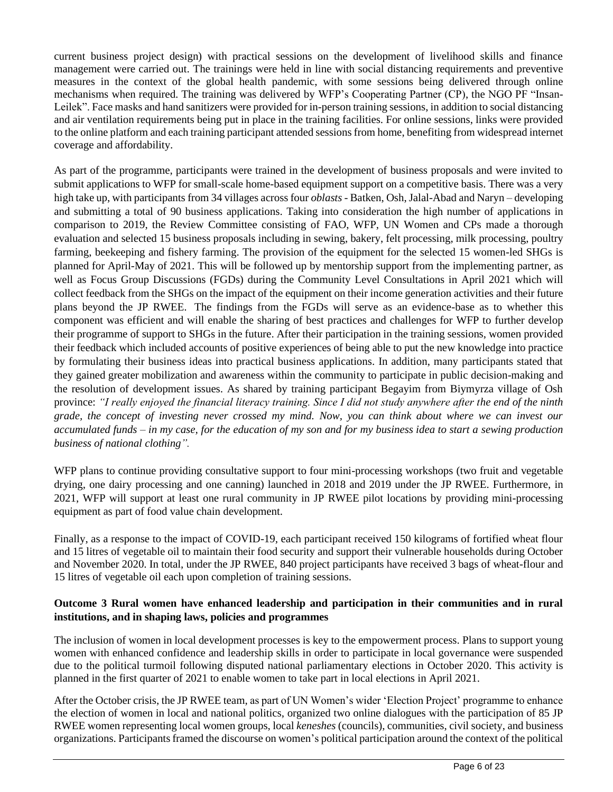current business project design) with practical sessions on the development of livelihood skills and finance management were carried out. The trainings were held in line with social distancing requirements and preventive measures in the context of the global health pandemic, with some sessions being delivered through online mechanisms when required. The training was delivered by WFP's Cooperating Partner (CP), the NGO PF "Insan-Leilek". Face masks and hand sanitizers were provided for in-person training sessions, in addition to social distancing and air ventilation requirements being put in place in the training facilities. For online sessions, links were provided to the online platform and each training participant attended sessions from home, benefiting from widespread internet coverage and affordability.

As part of the programme, participants were trained in the development of business proposals and were invited to submit applications to WFP for small-scale home-based equipment support on a competitive basis. There was a very high take up, with participants from 34 villages across four *oblasts* - Batken, Osh, Jalal-Abad and Naryn – developing and submitting a total of 90 business applications. Taking into consideration the high number of applications in comparison to 2019, the Review Committee consisting of FAO, WFP, UN Women and CPs made a thorough evaluation and selected 15 business proposals including in sewing, bakery, felt processing, milk processing, poultry farming, beekeeping and fishery farming. The provision of the equipment for the selected 15 women-led SHGs is planned for April-May of 2021. This will be followed up by mentorship support from the implementing partner, as well as Focus Group Discussions (FGDs) during the Community Level Consultations in April 2021 which will collect feedback from the SHGs on the impact of the equipment on their income generation activities and their future plans beyond the JP RWEE. The findings from the FGDs will serve as an evidence-base as to whether this component was efficient and will enable the sharing of best practices and challenges for WFP to further develop their programme of support to SHGs in the future. After their participation in the training sessions, women provided their feedback which included accounts of positive experiences of being able to put the new knowledge into practice by formulating their business ideas into practical business applications. In addition, many participants stated that they gained greater mobilization and awareness within the community to participate in public decision-making and the resolution of development issues. As shared by training participant Begayim from Biymyrza village of Osh province: *"I really enjoyed the financial literacy training. Since I did not study anywhere after the end of the ninth grade, the concept of investing never crossed my mind. Now, you can think about where we can invest our accumulated funds – in my case, for the education of my son and for my business idea to start a sewing production business of national clothing".* 

WFP plans to continue providing consultative support to four mini-processing workshops (two fruit and vegetable drying, one dairy processing and one canning) launched in 2018 and 2019 under the JP RWEE. Furthermore, in 2021, WFP will support at least one rural community in JP RWEE pilot locations by providing mini-processing equipment as part of food value chain development.

Finally, as a response to the impact of COVID-19, each participant received 150 kilograms of fortified wheat flour and 15 litres of vegetable oil to maintain their food security and support their vulnerable households during October and November 2020. In total, under the JP RWEE, 840 project participants have received 3 bags of wheat-flour and 15 litres of vegetable oil each upon completion of training sessions.

# **Outcome 3 Rural women have enhanced leadership and participation in their communities and in rural institutions, and in shaping laws, policies and programmes**

The inclusion of women in local development processes is key to the empowerment process. Plans to support young women with enhanced confidence and leadership skills in order to participate in local governance were suspended due to the political turmoil following disputed national parliamentary elections in October 2020. This activity is planned in the first quarter of 2021 to enable women to take part in local elections in April 2021.

After the October crisis, the JP RWEE team, as part of UN Women's wider 'Election Project' programme to enhance the election of women in local and national politics, organized two online dialogues with the participation of 85 JP RWEE women representing local women groups, local *keneshes* (councils), communities, civil society, and business organizations. Participants framed the discourse on women's political participation around the context of the political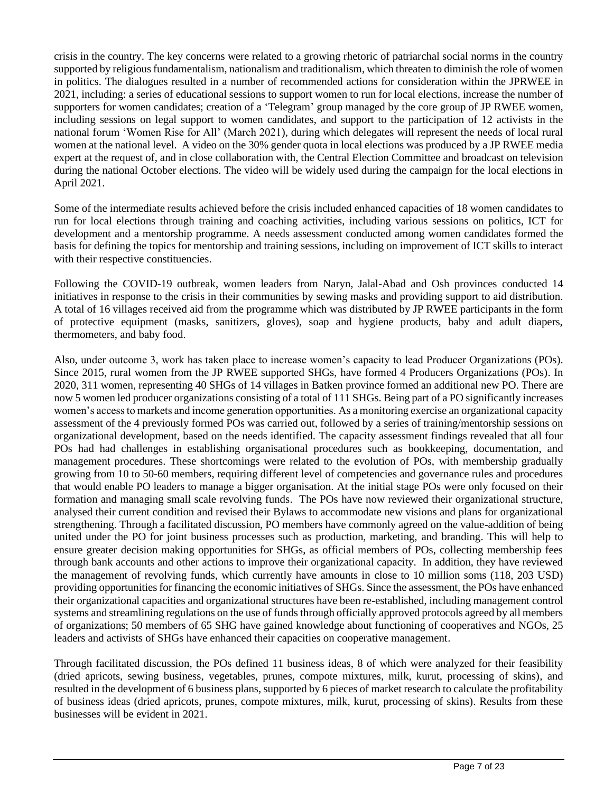crisis in the country. The key concerns were related to a growing rhetoric of patriarchal social norms in the country supported by religious fundamentalism, nationalism and traditionalism, which threaten to diminish the role of women in politics. The dialogues resulted in a number of recommended actions for consideration within the JPRWEE in 2021, including: a series of educational sessions to support women to run for local elections, increase the number of supporters for women candidates; creation of a 'Telegram' group managed by the core group of JP RWEE women, including sessions on legal support to women candidates, and support to the participation of 12 activists in the national forum 'Women Rise for All' (March 2021), during which delegates will represent the needs of local rural women at the national level. A video on the 30% gender quota in local elections was produced by a JP RWEE media expert at the request of, and in close collaboration with, the Central Election Committee and broadcast on television during the national October elections. The video will be widely used during the campaign for the local elections in April 2021.

Some of the intermediate results achieved before the crisis included enhanced capacities of 18 women candidates to run for local elections through training and coaching activities, including various sessions on politics, ICT for development and a mentorship programme. A needs assessment conducted among women candidates formed the basis for defining the topics for mentorship and training sessions, including on improvement of ICT skills to interact with their respective constituencies.

Following the COVID-19 outbreak, women leaders from Naryn, Jalal-Abad and Osh provinces conducted 14 initiatives in response to the crisis in their communities by sewing masks and providing support to aid distribution. A total of 16 villages received aid from the programme which was distributed by JP RWEE participants in the form of protective equipment (masks, sanitizers, gloves), soap and hygiene products, baby and adult diapers, thermometers, and baby food.

Also, under outcome 3, work has taken place to increase women's capacity to lead Producer Organizations (POs). Since 2015, rural women from the JP RWEE supported SHGs, have formed 4 Producers Organizations (POs). In 2020, 311 women, representing 40 SHGs of 14 villages in Batken province formed an additional new PO. There are now 5 women led producer organizations consisting of a total of 111 SHGs. Being part of a PO significantly increases women's access to markets and income generation opportunities. As a monitoring exercise an organizational capacity assessment of the 4 previously formed POs was carried out, followed by a series of training/mentorship sessions on organizational development, based on the needs identified. The capacity assessment findings revealed that all four POs had had challenges in establishing organisational procedures such as bookkeeping, documentation, and management procedures. These shortcomings were related to the evolution of POs, with membership gradually growing from 10 to 50-60 members, requiring different level of competencies and governance rules and procedures that would enable PO leaders to manage a bigger organisation. At the initial stage POs were only focused on their formation and managing small scale revolving funds. The POs have now reviewed their organizational structure, analysed their current condition and revised their Bylaws to accommodate new visions and plans for organizational strengthening. Through a facilitated discussion, PO members have commonly agreed on the value-addition of being united under the PO for joint business processes such as production, marketing, and branding. This will help to ensure greater decision making opportunities for SHGs, as official members of POs, collecting membership fees through bank accounts and other actions to improve their organizational capacity. In addition, they have reviewed the management of revolving funds, which currently have amounts in close to 10 million soms (118, 203 USD) providing opportunities for financing the economic initiatives of SHGs. Since the assessment, the POs have enhanced their organizational capacities and organizational structures have been re-established, including management control systems and streamlining regulations on the use of funds through officially approved protocols agreed by all members of organizations; 50 members of 65 SHG have gained knowledge about functioning of cooperatives and NGOs, 25 leaders and activists of SHGs have enhanced their capacities on cooperative management.

Through facilitated discussion, the POs defined 11 business ideas, 8 of which were analyzed for their feasibility (dried apricots, sewing business, vegetables, prunes, compote mixtures, milk, kurut, processing of skins), and resulted in the development of 6 business plans, supported by 6 pieces of market research to calculate the profitability of business ideas (dried apricots, prunes, compote mixtures, milk, kurut, processing of skins). Results from these businesses will be evident in 2021.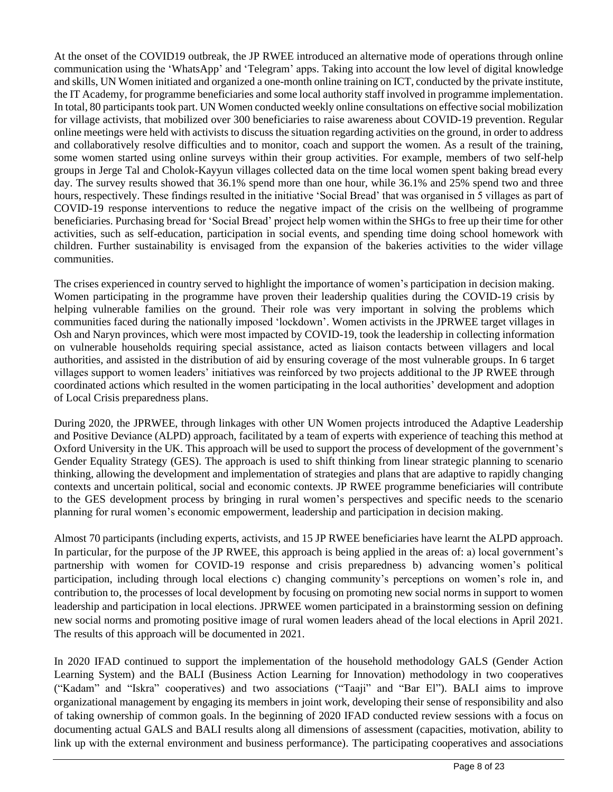At the onset of the COVID19 outbreak, the JP RWEE introduced an alternative mode of operations through online communication using the 'WhatsApp' and 'Telegram' apps. Taking into account the low level of digital knowledge and skills, UN Women initiated and organized a one-month online training on ICT, conducted by the private institute, the IT Academy, for programme beneficiaries and some local authority staff involved in programme implementation. In total, 80 participants took part. UN Women conducted weekly online consultations on effective social mobilization for village activists, that mobilized over 300 beneficiaries to raise awareness about COVID-19 prevention. Regular online meetings were held with activists to discuss the situation regarding activities on the ground, in order to address and collaboratively resolve difficulties and to monitor, coach and support the women. As a result of the training, some women started using online surveys within their group activities. For example, members of two self-help groups in Jerge Tal and Cholok-Kayyun villages collected data on the time local women spent baking bread every day. The survey results showed that 36.1% spend more than one hour, while 36.1% and 25% spend two and three hours, respectively. These findings resulted in the initiative 'Social Bread' that was organised in 5 villages as part of COVID-19 response interventions to reduce the negative impact of the crisis on the wellbeing of programme beneficiaries. Purchasing bread for 'Social Bread' project help women within the SHGs to free up their time for other activities, such as self-education, participation in social events, and spending time doing school homework with children. Further sustainability is envisaged from the expansion of the bakeries activities to the wider village communities.

The crises experienced in country served to highlight the importance of women's participation in decision making. Women participating in the programme have proven their leadership qualities during the COVID-19 crisis by helping vulnerable families on the ground. Their role was very important in solving the problems which communities faced during the nationally imposed 'lockdown'. Women activists in the JPRWEE target villages in Osh and Naryn provinces, which were most impacted by COVID-19, took the leadership in collecting information on vulnerable households requiring special assistance, acted as liaison contacts between villagers and local authorities, and assisted in the distribution of aid by ensuring coverage of the most vulnerable groups. In 6 target villages support to women leaders' initiatives was reinforced by two projects additional to the JP RWEE through coordinated actions which resulted in the women participating in the local authorities' development and adoption of Local Crisis preparedness plans.

During 2020, the JPRWEE, through linkages with other UN Women projects introduced the Adaptive Leadership and Positive Deviance (ALPD) approach, facilitated by a team of experts with experience of teaching this method at Oxford University in the UK. This approach will be used to support the process of development of the government's Gender Equality Strategy (GES). The approach is used to shift thinking from linear strategic planning to scenario thinking, allowing the development and implementation of strategies and plans that are adaptive to rapidly changing contexts and uncertain political, social and economic contexts. JP RWEE programme beneficiaries will contribute to the GES development process by bringing in rural women's perspectives and specific needs to the scenario planning for rural women's economic empowerment, leadership and participation in decision making.

Almost 70 participants (including experts, activists, and 15 JP RWEE beneficiaries have learnt the ALPD approach. In particular, for the purpose of the JP RWEE, this approach is being applied in the areas of: a) local government's partnership with women for COVID-19 response and crisis preparedness b) advancing women's political participation, including through local elections c) changing community's perceptions on women's role in, and contribution to, the processes of local development by focusing on promoting new social norms in support to women leadership and participation in local elections. JPRWEE women participated in a brainstorming session on defining new social norms and promoting positive image of rural women leaders ahead of the local elections in April 2021. The results of this approach will be documented in 2021.

In 2020 IFAD continued to support the implementation of the household methodology GALS (Gender Action Learning System) and the BALI (Business Action Learning for Innovation) methodology in two cooperatives ("Kadam" and "Iskra" cooperatives) and two associations ("Taaji" and "Bar El"). BALI aims to improve organizational management by engaging its members in joint work, developing their sense of responsibility and also of taking ownership of common goals. In the beginning of 2020 IFAD conducted review sessions with a focus on documenting actual GALS and BALI results along all dimensions of assessment (capacities, motivation, ability to link up with the external environment and business performance). The participating cooperatives and associations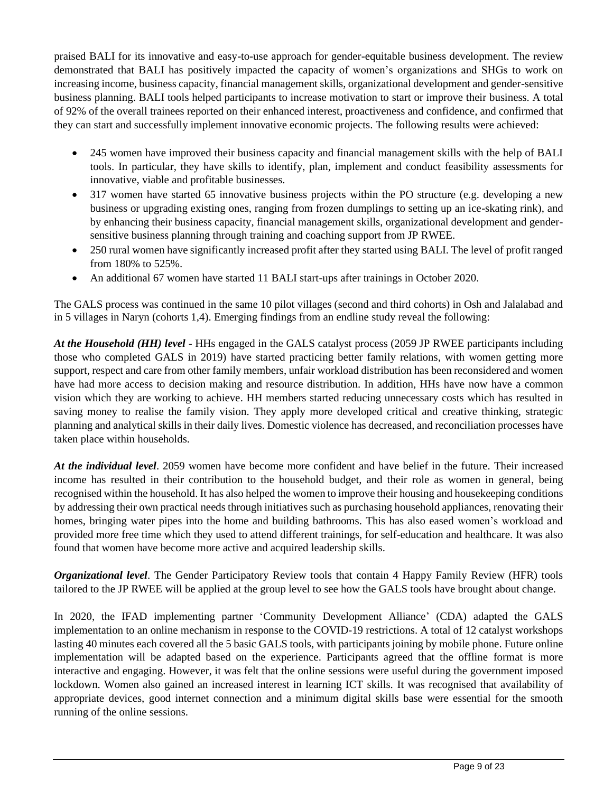praised BALI for its innovative and easy-to-use approach for gender-equitable business development. The review demonstrated that BALI has positively impacted the capacity of women's organizations and SHGs to work on increasing income, business capacity, financial management skills, organizational development and gender-sensitive business planning. BALI tools helped participants to increase motivation to start or improve their business. A total of 92% of the overall trainees reported on their enhanced interest, proactiveness and confidence, and confirmed that they can start and successfully implement innovative economic projects. The following results were achieved:

- 245 women have improved their business capacity and financial management skills with the help of BALI tools. In particular, they have skills to identify, plan, implement and conduct feasibility assessments for innovative, viable and profitable businesses.
- 317 women have started 65 innovative business projects within the PO structure (e.g. developing a new business or upgrading existing ones, ranging from frozen dumplings to setting up an ice-skating rink), and by enhancing their business capacity, financial management skills, organizational development and gendersensitive business planning through training and coaching support from JP RWEE.
- 250 rural women have significantly increased profit after they started using BALI. The level of profit ranged from 180% to 525%.
- An additional 67 women have started 11 BALI start-ups after trainings in October 2020.

The GALS process was continued in the same 10 pilot villages (second and third cohorts) in Osh and Jalalabad and in 5 villages in Naryn (cohorts 1,4). Emerging findings from an endline study reveal the following:

*At the Household (HH) level* - HHs engaged in the GALS catalyst process (2059 JP RWEE participants including those who completed GALS in 2019) have started practicing better family relations, with women getting more support, respect and care from other family members, unfair workload distribution has been reconsidered and women have had more access to decision making and resource distribution. In addition, HHs have now have a common vision which they are working to achieve. HH members started reducing unnecessary costs which has resulted in saving money to realise the family vision. They apply more developed critical and creative thinking, strategic planning and analytical skills in their daily lives. Domestic violence has decreased, and reconciliation processes have taken place within households.

*At the individual level*. 2059 women have become more confident and have belief in the future. Their increased income has resulted in their contribution to the household budget, and their role as women in general, being recognised within the household. It has also helped the women to improve their housing and housekeeping conditions by addressing their own practical needs through initiatives such as purchasing household appliances, renovating their homes, bringing water pipes into the home and building bathrooms. This has also eased women's workload and provided more free time which they used to attend different trainings, for self-education and healthcare. It was also found that women have become more active and acquired leadership skills.

*Organizational level*. The Gender Participatory Review tools that contain 4 Happy Family Review (HFR) tools tailored to the JP RWEE will be applied at the group level to see how the GALS tools have brought about change.

In 2020, the IFAD implementing partner 'Community Development Alliance' (CDA) adapted the GALS implementation to an online mechanism in response to the COVID-19 restrictions. A total of 12 catalyst workshops lasting 40 minutes each covered all the 5 basic GALS tools, with participants joining by mobile phone. Future online implementation will be adapted based on the experience. Participants agreed that the offline format is more interactive and engaging. However, it was felt that the online sessions were useful during the government imposed lockdown. Women also gained an increased interest in learning ICT skills. It was recognised that availability of appropriate devices, good internet connection and a minimum digital skills base were essential for the smooth running of the online sessions.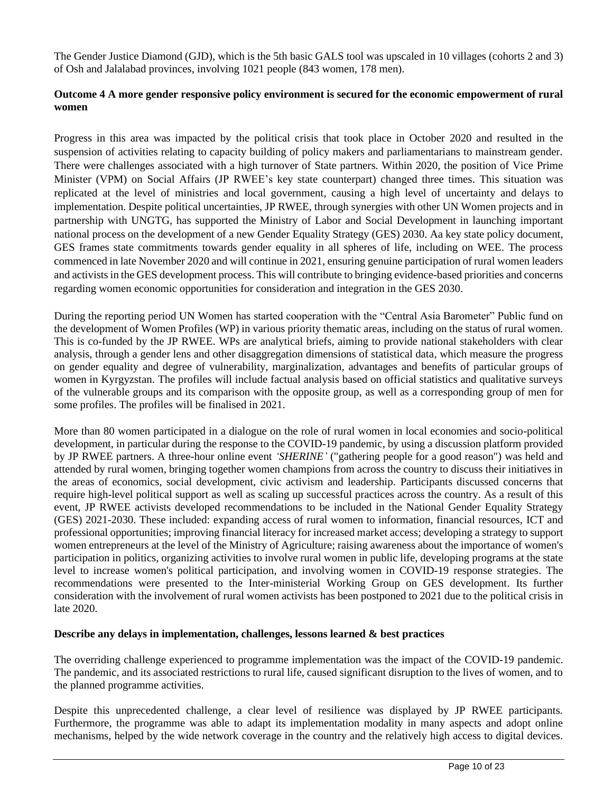The Gender Justice Diamond (GJD), which is the 5th basic GALS tool was upscaled in 10 villages (cohorts 2 and 3) of Osh and Jalalabad provinces, involving 1021 people (843 women, 178 men).

### **Outcome 4 A more gender responsive policy environment is secured for the economic empowerment of rural women**

Progress in this area was impacted by the political crisis that took place in October 2020 and resulted in the suspension of activities relating to capacity building of policy makers and parliamentarians to mainstream gender. There were challenges associated with a high turnover of State partners. Within 2020, the position of Vice Prime Minister (VPM) on Social Affairs (JP RWEE's key state counterpart) changed three times. This situation was replicated at the level of ministries and local government, causing a high level of uncertainty and delays to implementation. Despite political uncertainties, JP RWEE, through synergies with other UN Women projects and in partnership with UNGTG, has supported the Ministry of Labor and Social Development in launching important national process on the development of a new Gender Equality Strategy (GES) 2030. Aa key state policy document, GES frames state commitments towards gender equality in all spheres of life, including on WEE. The process commenced in late November 2020 and will continue in 2021, ensuring genuine participation of rural women leaders and activists in the GES development process. This will contribute to bringing evidence-based priorities and concerns regarding women economic opportunities for consideration and integration in the GES 2030.

During the reporting period UN Women has started cooperation with the "Central Asia Barometer" Public fund on the development of Women Profiles (WP) in various priority thematic areas, including on the status of rural women. This is co-funded by the JP RWEE. WPs are analytical briefs, aiming to provide national stakeholders with clear analysis, through a gender lens and other disaggregation dimensions of statistical data, which measure the progress on gender equality and degree of vulnerability, marginalization, advantages and benefits of particular groups of women in Kyrgyzstan. The profiles will include factual analysis based on official statistics and qualitative surveys of the vulnerable groups and its comparison with the opposite group, as well as a corresponding group of men for some profiles. The profiles will be finalised in 2021.

More than 80 women participated in a dialogue on the role of rural women in local economies and socio-political development, in particular during the response to the COVID-19 pandemic, by using a discussion platform provided by JP RWEE partners. A three-hour online event *'SHERINE'* ("gathering people for a good reason") was held and attended by rural women, bringing together women champions from across the country to discuss their initiatives in the areas of economics, social development, civic activism and leadership. Participants discussed concerns that require high-level political support as well as scaling up successful practices across the country. As a result of this event, JP RWEE activists developed recommendations to be included in the National Gender Equality Strategy (GES) 2021-2030. These included: expanding access of rural women to information, financial resources, ICT and professional opportunities; improving financial literacy for increased market access; developing a strategy to support women entrepreneurs at the level of the Ministry of Agriculture; raising awareness about the importance of women's participation in politics, organizing activities to involve rural women in public life, developing programs at the state level to increase women's political participation, and involving women in COVID-19 response strategies. The recommendations were presented to the Inter-ministerial Working Group on GES development. Its further consideration with the involvement of rural women activists has been postponed to 2021 due to the political crisis in late 2020.

#### **Describe any delays in implementation, challenges, lessons learned & best practices**

The overriding challenge experienced to programme implementation was the impact of the COVID-19 pandemic. The pandemic, and its associated restrictions to rural life, caused significant disruption to the lives of women, and to the planned programme activities.

Despite this unprecedented challenge, a clear level of resilience was displayed by JP RWEE participants. Furthermore, the programme was able to adapt its implementation modality in many aspects and adopt online mechanisms, helped by the wide network coverage in the country and the relatively high access to digital devices.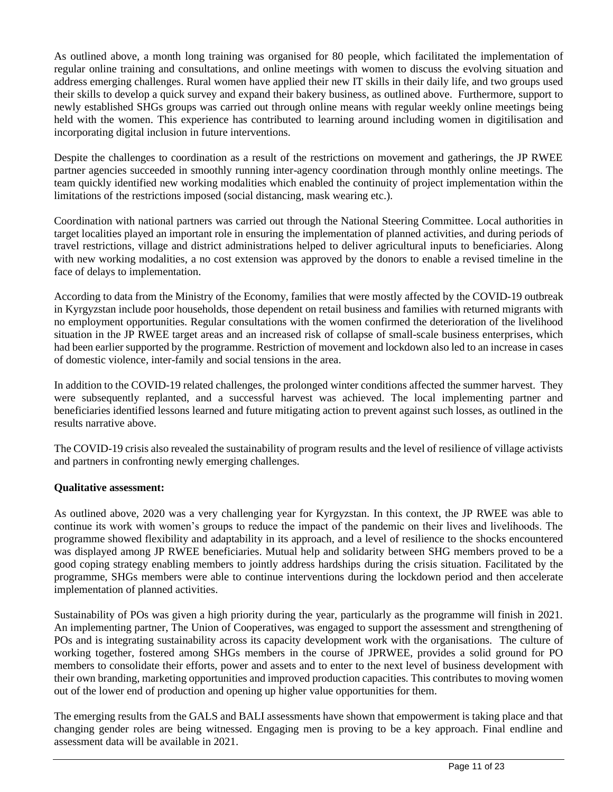As outlined above, a month long training was organised for 80 people, which facilitated the implementation of regular online training and consultations, and online meetings with women to discuss the evolving situation and address emerging challenges. Rural women have applied their new IT skills in their daily life, and two groups used their skills to develop a quick survey and expand their bakery business, as outlined above. Furthermore, support to newly established SHGs groups was carried out through online means with regular weekly online meetings being held with the women. This experience has contributed to learning around including women in digitilisation and incorporating digital inclusion in future interventions.

Despite the challenges to coordination as a result of the restrictions on movement and gatherings, the JP RWEE partner agencies succeeded in smoothly running inter-agency coordination through monthly online meetings. The team quickly identified new working modalities which enabled the continuity of project implementation within the limitations of the restrictions imposed (social distancing, mask wearing etc.).

Coordination with national partners was carried out through the National Steering Committee. Local authorities in target localities played an important role in ensuring the implementation of planned activities, and during periods of travel restrictions, village and district administrations helped to deliver agricultural inputs to beneficiaries. Along with new working modalities, a no cost extension was approved by the donors to enable a revised timeline in the face of delays to implementation.

According to data from the Ministry of the Economy, families that were mostly affected by the COVID-19 outbreak in Kyrgyzstan include poor households, those dependent on retail business and families with returned migrants with no employment opportunities. Regular consultations with the women confirmed the deterioration of the livelihood situation in the JP RWEE target areas and an increased risk of collapse of small-scale business enterprises, which had been earlier supported by the programme. Restriction of movement and lockdown also led to an increase in cases of domestic violence, inter-family and social tensions in the area.

In addition to the COVID-19 related challenges, the prolonged winter conditions affected the summer harvest. They were subsequently replanted, and a successful harvest was achieved. The local implementing partner and beneficiaries identified lessons learned and future mitigating action to prevent against such losses, as outlined in the results narrative above.

The COVID-19 crisis also revealed the sustainability of program results and the level of resilience of village activists and partners in confronting newly emerging challenges.

#### **Qualitative assessment:**

As outlined above, 2020 was a very challenging year for Kyrgyzstan. In this context, the JP RWEE was able to continue its work with women's groups to reduce the impact of the pandemic on their lives and livelihoods. The programme showed flexibility and adaptability in its approach, and a level of resilience to the shocks encountered was displayed among JP RWEE beneficiaries. Mutual help and solidarity between SHG members proved to be a good coping strategy enabling members to jointly address hardships during the crisis situation. Facilitated by the programme, SHGs members were able to continue interventions during the lockdown period and then accelerate implementation of planned activities.

Sustainability of POs was given a high priority during the year, particularly as the programme will finish in 2021. An implementing partner, The Union of Cooperatives, was engaged to support the assessment and strengthening of POs and is integrating sustainability across its capacity development work with the organisations. The culture of working together, fostered among SHGs members in the course of JPRWEE, provides a solid ground for PO members to consolidate their efforts, power and assets and to enter to the next level of business development with their own branding, marketing opportunities and improved production capacities. This contributes to moving women out of the lower end of production and opening up higher value opportunities for them.

The emerging results from the GALS and BALI assessments have shown that empowerment is taking place and that changing gender roles are being witnessed. Engaging men is proving to be a key approach. Final endline and assessment data will be available in 2021.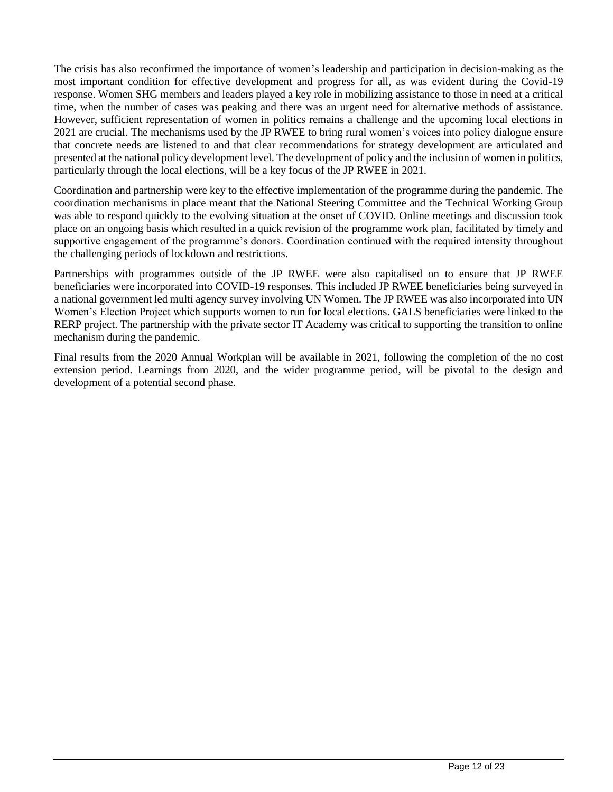The crisis has also reconfirmed the importance of women's leadership and participation in decision-making as the most important condition for effective development and progress for all, as was evident during the Covid-19 response. Women SHG members and leaders played a key role in mobilizing assistance to those in need at a critical time, when the number of cases was peaking and there was an urgent need for alternative methods of assistance. However, sufficient representation of women in politics remains a challenge and the upcoming local elections in 2021 are crucial. The mechanisms used by the JP RWEE to bring rural women's voices into policy dialogue ensure that concrete needs are listened to and that clear recommendations for strategy development are articulated and presented at the national policy development level. The development of policy and the inclusion of women in politics, particularly through the local elections, will be a key focus of the JP RWEE in 2021.

Coordination and partnership were key to the effective implementation of the programme during the pandemic. The coordination mechanisms in place meant that the National Steering Committee and the Technical Working Group was able to respond quickly to the evolving situation at the onset of COVID. Online meetings and discussion took place on an ongoing basis which resulted in a quick revision of the programme work plan, facilitated by timely and supportive engagement of the programme's donors. Coordination continued with the required intensity throughout the challenging periods of lockdown and restrictions.

Partnerships with programmes outside of the JP RWEE were also capitalised on to ensure that JP RWEE beneficiaries were incorporated into COVID-19 responses. This included JP RWEE beneficiaries being surveyed in a national government led multi agency survey involving UN Women. The JP RWEE was also incorporated into UN Women's Election Project which supports women to run for local elections. GALS beneficiaries were linked to the RERP project. The partnership with the private sector IT Academy was critical to supporting the transition to online mechanism during the pandemic.

Final results from the 2020 Annual Workplan will be available in 2021, following the completion of the no cost extension period. Learnings from 2020, and the wider programme period, will be pivotal to the design and development of a potential second phase.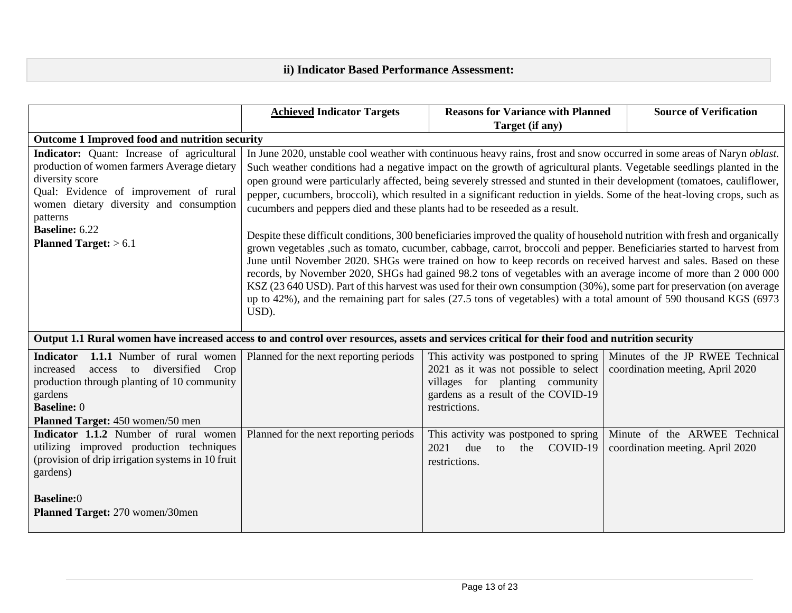# **ii) Indicator Based Performance Assessment:**

|                                                                                                                                                                                                                                                                          | <b>Achieved Indicator Targets</b>                                                                                                                                                                                                                                                                                                                                                                                                                                                                                                                                                                                                                                                                                                                                                                                                                                                                                                                                                                                                                                                                                                                                                                                                                                                                                                                                 | <b>Reasons for Variance with Planned</b>                                                                                                                                  | <b>Source of Verification</b>                                        |  |
|--------------------------------------------------------------------------------------------------------------------------------------------------------------------------------------------------------------------------------------------------------------------------|-------------------------------------------------------------------------------------------------------------------------------------------------------------------------------------------------------------------------------------------------------------------------------------------------------------------------------------------------------------------------------------------------------------------------------------------------------------------------------------------------------------------------------------------------------------------------------------------------------------------------------------------------------------------------------------------------------------------------------------------------------------------------------------------------------------------------------------------------------------------------------------------------------------------------------------------------------------------------------------------------------------------------------------------------------------------------------------------------------------------------------------------------------------------------------------------------------------------------------------------------------------------------------------------------------------------------------------------------------------------|---------------------------------------------------------------------------------------------------------------------------------------------------------------------------|----------------------------------------------------------------------|--|
|                                                                                                                                                                                                                                                                          |                                                                                                                                                                                                                                                                                                                                                                                                                                                                                                                                                                                                                                                                                                                                                                                                                                                                                                                                                                                                                                                                                                                                                                                                                                                                                                                                                                   | Target (if any)                                                                                                                                                           |                                                                      |  |
| Outcome 1 Improved food and nutrition security                                                                                                                                                                                                                           |                                                                                                                                                                                                                                                                                                                                                                                                                                                                                                                                                                                                                                                                                                                                                                                                                                                                                                                                                                                                                                                                                                                                                                                                                                                                                                                                                                   |                                                                                                                                                                           |                                                                      |  |
| Indicator: Quant: Increase of agricultural<br>production of women farmers Average dietary<br>diversity score<br>Qual: Evidence of improvement of rural<br>women dietary diversity and consumption<br>patterns<br><b>Baseline: 6.22</b><br><b>Planned Target:</b> $> 6.1$ | In June 2020, unstable cool weather with continuous heavy rains, frost and snow occurred in some areas of Naryn <i>oblast</i> .<br>Such weather conditions had a negative impact on the growth of agricultural plants. Vegetable seedlings planted in the<br>open ground were particularly affected, being severely stressed and stunted in their development (tomatoes, cauliflower,<br>pepper, cucumbers, broccoli), which resulted in a significant reduction in yields. Some of the heat-loving crops, such as<br>cucumbers and peppers died and these plants had to be reseeded as a result.<br>Despite these difficult conditions, 300 beneficiaries improved the quality of household nutrition with fresh and organically<br>grown vegetables , such as tomato, cucumber, cabbage, carrot, broccoli and pepper. Beneficiaries started to harvest from<br>June until November 2020. SHGs were trained on how to keep records on received harvest and sales. Based on these<br>records, by November 2020, SHGs had gained 98.2 tons of vegetables with an average income of more than 2 000 000<br>KSZ (23 640 USD). Part of this harvest was used for their own consumption (30%), some part for preservation (on average<br>up to 42%), and the remaining part for sales (27.5 tons of vegetables) with a total amount of 590 thousand KGS (6973<br>USD). |                                                                                                                                                                           |                                                                      |  |
|                                                                                                                                                                                                                                                                          | Output 1.1 Rural women have increased access to and control over resources, assets and services critical for their food and nutrition security                                                                                                                                                                                                                                                                                                                                                                                                                                                                                                                                                                                                                                                                                                                                                                                                                                                                                                                                                                                                                                                                                                                                                                                                                    |                                                                                                                                                                           |                                                                      |  |
| <b>Indicator</b><br><b>1.1.1</b> Number of rural women<br>access to diversified<br>Crop<br>increased<br>production through planting of 10 community<br>gardens<br><b>Baseline: 0</b><br>Planned Target: 450 women/50 men                                                 | Planned for the next reporting periods                                                                                                                                                                                                                                                                                                                                                                                                                                                                                                                                                                                                                                                                                                                                                                                                                                                                                                                                                                                                                                                                                                                                                                                                                                                                                                                            | This activity was postponed to spring<br>2021 as it was not possible to select<br>villages for planting community<br>gardens as a result of the COVID-19<br>restrictions. | Minutes of the JP RWEE Technical<br>coordination meeting, April 2020 |  |
| Indicator 1.1.2 Number of rural women<br>utilizing improved production techniques<br>(provision of drip irrigation systems in 10 fruit<br>gardens)<br><b>Baseline:0</b>                                                                                                  | Planned for the next reporting periods                                                                                                                                                                                                                                                                                                                                                                                                                                                                                                                                                                                                                                                                                                                                                                                                                                                                                                                                                                                                                                                                                                                                                                                                                                                                                                                            | This activity was postponed to spring<br>2021<br>due<br>COVID-19<br>to<br>the<br>restrictions.                                                                            | Minute of the ARWEE Technical<br>coordination meeting. April 2020    |  |
| Planned Target: 270 women/30men                                                                                                                                                                                                                                          |                                                                                                                                                                                                                                                                                                                                                                                                                                                                                                                                                                                                                                                                                                                                                                                                                                                                                                                                                                                                                                                                                                                                                                                                                                                                                                                                                                   |                                                                                                                                                                           |                                                                      |  |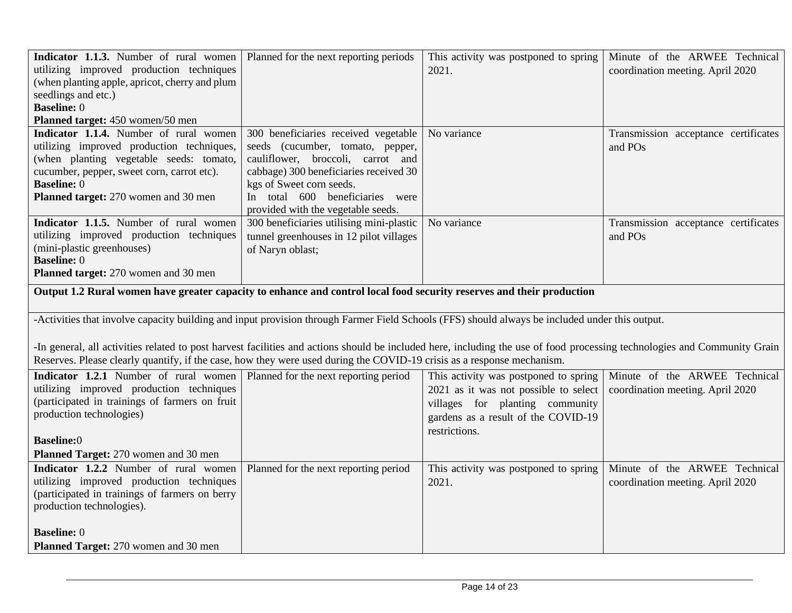| Indicator 1.1.3. Number of rural women<br>utilizing improved production techniques<br>(when planting apple, apricot, cherry and plum<br>seedlings and etc.)<br><b>Baseline: 0</b><br>Planned target: 450 women/50 men                                                                                                                                                                                                                                 | Planned for the next reporting periods                                                                                                                                                                                                                       | This activity was postponed to spring<br>2021.                                                                                                                            | Minute of the ARWEE Technical<br>coordination meeting. April 2020 |  |
|-------------------------------------------------------------------------------------------------------------------------------------------------------------------------------------------------------------------------------------------------------------------------------------------------------------------------------------------------------------------------------------------------------------------------------------------------------|--------------------------------------------------------------------------------------------------------------------------------------------------------------------------------------------------------------------------------------------------------------|---------------------------------------------------------------------------------------------------------------------------------------------------------------------------|-------------------------------------------------------------------|--|
| Indicator 1.1.4. Number of rural women<br>utilizing improved production techniques,<br>(when planting vegetable seeds: tomato,<br>cucumber, pepper, sweet corn, carrot etc).<br><b>Baseline: 0</b><br>Planned target: 270 women and 30 men                                                                                                                                                                                                            | 300 beneficiaries received vegetable<br>seeds (cucumber, tomato, pepper,<br>cauliflower, broccoli, carrot and<br>cabbage) 300 beneficiaries received 30<br>kgs of Sweet corn seeds.<br>In total 600 beneficiaries were<br>provided with the vegetable seeds. | No variance                                                                                                                                                               | Transmission acceptance certificates<br>and POs                   |  |
| Indicator 1.1.5. Number of rural women<br>utilizing improved production techniques<br>(mini-plastic greenhouses)<br><b>Baseline: 0</b><br>Planned target: 270 women and 30 men                                                                                                                                                                                                                                                                        | 300 beneficiaries utilising mini-plastic<br>tunnel greenhouses in 12 pilot villages<br>of Naryn oblast;                                                                                                                                                      | No variance                                                                                                                                                               | Transmission acceptance certificates<br>and POs                   |  |
| Output 1.2 Rural women have greater capacity to enhance and control local food security reserves and their production                                                                                                                                                                                                                                                                                                                                 |                                                                                                                                                                                                                                                              |                                                                                                                                                                           |                                                                   |  |
| -Activities that involve capacity building and input provision through Farmer Field Schools (FFS) should always be included under this output.<br>-In general, all activities related to post harvest facilities and actions should be included here, including the use of food processing technologies and Community Grain<br>Reserves. Please clearly quantify, if the case, how they were used during the COVID-19 crisis as a response mechanism. |                                                                                                                                                                                                                                                              |                                                                                                                                                                           |                                                                   |  |
| Indicator 1.2.1 Number of rural women<br>utilizing improved production techniques<br>(participated in trainings of farmers on fruit<br>production technologies)<br><b>Baseline:0</b><br>Planned Target: 270 women and 30 men                                                                                                                                                                                                                          | Planned for the next reporting period                                                                                                                                                                                                                        | This activity was postponed to spring<br>2021 as it was not possible to select<br>villages for planting community<br>gardens as a result of the COVID-19<br>restrictions. | Minute of the ARWEE Technical<br>coordination meeting. April 2020 |  |
| Indicator 1.2.2 Number of rural women<br>utilizing improved production techniques<br>(participated in trainings of farmers on berry<br>production technologies).<br><b>Baseline: 0</b><br>Planned Target: 270 women and 30 men                                                                                                                                                                                                                        | Planned for the next reporting period                                                                                                                                                                                                                        | This activity was postponed to spring<br>2021.                                                                                                                            | Minute of the ARWEE Technical<br>coordination meeting. April 2020 |  |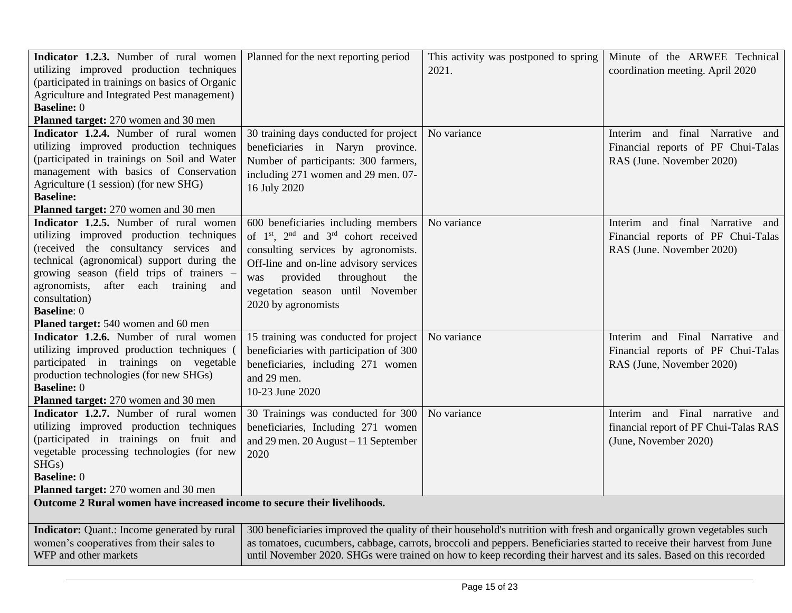| Indicator 1.2.3. Number of rural women<br>utilizing improved production techniques<br>(participated in trainings on basics of Organic<br>Agriculture and Integrated Pest management)<br><b>Baseline: 0</b><br>Planned target: 270 women and 30 men                                                                                               | Planned for the next reporting period                                                                                                                                                                                                                                                               | This activity was postponed to spring<br>2021.                                                                                                                                                                                                                                                                                                                            | Minute of the ARWEE Technical<br>coordination meeting. April 2020                                     |
|--------------------------------------------------------------------------------------------------------------------------------------------------------------------------------------------------------------------------------------------------------------------------------------------------------------------------------------------------|-----------------------------------------------------------------------------------------------------------------------------------------------------------------------------------------------------------------------------------------------------------------------------------------------------|---------------------------------------------------------------------------------------------------------------------------------------------------------------------------------------------------------------------------------------------------------------------------------------------------------------------------------------------------------------------------|-------------------------------------------------------------------------------------------------------|
| Indicator 1.2.4. Number of rural women<br>utilizing improved production techniques<br>(participated in trainings on Soil and Water<br>management with basics of Conservation<br>Agriculture (1 session) (for new SHG)<br><b>Baseline:</b><br>Planned target: 270 women and 30 men                                                                | 30 training days conducted for project<br>beneficiaries in Naryn province.<br>Number of participants: 300 farmers,<br>including 271 women and 29 men. 07-<br>16 July 2020                                                                                                                           | No variance                                                                                                                                                                                                                                                                                                                                                               | and final Narrative and<br>Interim<br>Financial reports of PF Chui-Talas<br>RAS (June. November 2020) |
| Indicator 1.2.5. Number of rural women<br>utilizing improved production techniques<br>(received the consultancy services and<br>technical (agronomical) support during the<br>growing season (field trips of trainers -<br>agronomists, after each training<br>and<br>consultation)<br><b>Baseline: 0</b><br>Planed target: 540 women and 60 men | 600 beneficiaries including members<br>of 1 <sup>st</sup> , 2 <sup>nd</sup> and 3 <sup>rd</sup> cohort received<br>consulting services by agronomists.<br>Off-line and on-line advisory services<br>provided<br>throughout<br>the<br>was<br>vegetation season until November<br>2020 by agronomists | No variance                                                                                                                                                                                                                                                                                                                                                               | Interim and final Narrative and<br>Financial reports of PF Chui-Talas<br>RAS (June. November 2020)    |
| Indicator 1.2.6. Number of rural women<br>utilizing improved production techniques (<br>participated in trainings on vegetable<br>production technologies (for new SHGs)<br><b>Baseline: 0</b><br>Planned target: 270 women and 30 men                                                                                                           | 15 training was conducted for project<br>beneficiaries with participation of 300<br>beneficiaries, including 271 women<br>and 29 men.<br>10-23 June 2020                                                                                                                                            | No variance                                                                                                                                                                                                                                                                                                                                                               | Interim and Final Narrative and<br>Financial reports of PF Chui-Talas<br>RAS (June, November 2020)    |
| Indicator 1.2.7. Number of rural women<br>utilizing improved production techniques<br>(participated in trainings on fruit and<br>vegetable processing technologies (for new<br>SHGs)<br><b>Baseline: 0</b><br>Planned target: 270 women and 30 men                                                                                               | 30 Trainings was conducted for 300<br>beneficiaries, Including 271 women<br>and 29 men. $20$ August - 11 September<br>2020                                                                                                                                                                          | No variance                                                                                                                                                                                                                                                                                                                                                               | Interim and Final narrative and<br>financial report of PF Chui-Talas RAS<br>(June, November 2020)     |
| Outcome 2 Rural women have increased income to secure their livelihoods.                                                                                                                                                                                                                                                                         |                                                                                                                                                                                                                                                                                                     |                                                                                                                                                                                                                                                                                                                                                                           |                                                                                                       |
| <b>Indicator:</b> Quant.: Income generated by rural<br>women's cooperatives from their sales to<br>WFP and other markets                                                                                                                                                                                                                         |                                                                                                                                                                                                                                                                                                     | 300 beneficiaries improved the quality of their household's nutrition with fresh and organically grown vegetables such<br>as tomatoes, cucumbers, cabbage, carrots, broccoli and peppers. Beneficiaries started to receive their harvest from June<br>until November 2020. SHGs were trained on how to keep recording their harvest and its sales. Based on this recorded |                                                                                                       |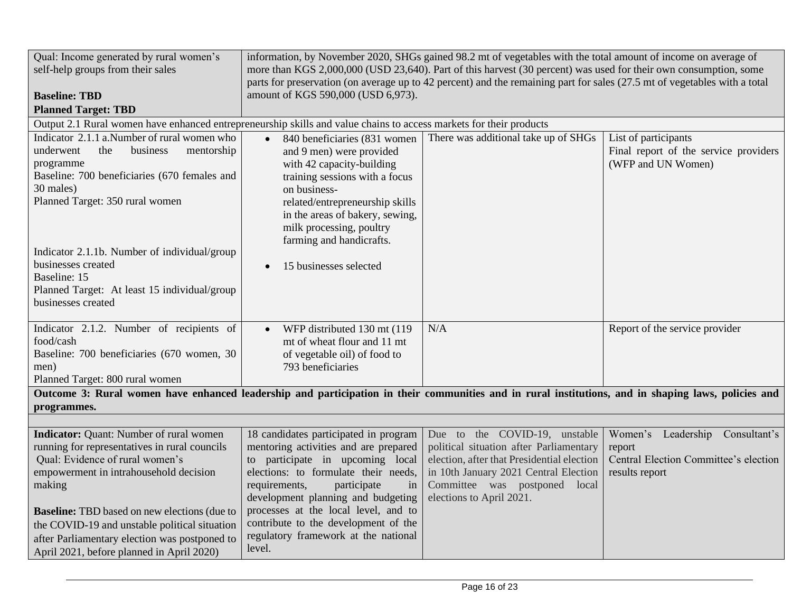| Qual: Income generated by rural women's                                                                                                                                                                                                                                                                                                                                                      |                                                                                                                                                                                                                                                                                                                                                                          | information, by November 2020, SHGs gained 98.2 mt of vegetables with the total amount of income on average of                                                                                                               |                                                                                                      |
|----------------------------------------------------------------------------------------------------------------------------------------------------------------------------------------------------------------------------------------------------------------------------------------------------------------------------------------------------------------------------------------------|--------------------------------------------------------------------------------------------------------------------------------------------------------------------------------------------------------------------------------------------------------------------------------------------------------------------------------------------------------------------------|------------------------------------------------------------------------------------------------------------------------------------------------------------------------------------------------------------------------------|------------------------------------------------------------------------------------------------------|
| self-help groups from their sales                                                                                                                                                                                                                                                                                                                                                            | more than KGS 2,000,000 (USD 23,640). Part of this harvest (30 percent) was used for their own consumption, some                                                                                                                                                                                                                                                         |                                                                                                                                                                                                                              |                                                                                                      |
|                                                                                                                                                                                                                                                                                                                                                                                              | parts for preservation (on average up to 42 percent) and the remaining part for sales (27.5 mt of vegetables with a total                                                                                                                                                                                                                                                |                                                                                                                                                                                                                              |                                                                                                      |
| <b>Baseline: TBD</b>                                                                                                                                                                                                                                                                                                                                                                         | amount of KGS 590,000 (USD 6,973).                                                                                                                                                                                                                                                                                                                                       |                                                                                                                                                                                                                              |                                                                                                      |
| <b>Planned Target: TBD</b>                                                                                                                                                                                                                                                                                                                                                                   |                                                                                                                                                                                                                                                                                                                                                                          |                                                                                                                                                                                                                              |                                                                                                      |
| Output 2.1 Rural women have enhanced entrepreneurship skills and value chains to access markets for their products                                                                                                                                                                                                                                                                           |                                                                                                                                                                                                                                                                                                                                                                          |                                                                                                                                                                                                                              |                                                                                                      |
| Indicator 2.1.1 a.Number of rural women who<br>the<br>underwent<br>business<br>mentorship<br>programme<br>Baseline: 700 beneficiaries (670 females and<br>30 males)<br>Planned Target: 350 rural women                                                                                                                                                                                       | 840 beneficiaries (831 women)<br>and 9 men) were provided<br>with 42 capacity-building<br>training sessions with a focus<br>on business-<br>related/entrepreneurship skills<br>in the areas of bakery, sewing,<br>milk processing, poultry<br>farming and handicrafts.                                                                                                   | There was additional take up of SHGs                                                                                                                                                                                         | List of participants<br>Final report of the service providers<br>(WFP and UN Women)                  |
| Indicator 2.1.1b. Number of individual/group<br>businesses created<br>Baseline: 15<br>Planned Target: At least 15 individual/group<br>businesses created                                                                                                                                                                                                                                     | 15 businesses selected                                                                                                                                                                                                                                                                                                                                                   |                                                                                                                                                                                                                              |                                                                                                      |
| Indicator 2.1.2. Number of recipients of<br>food/cash<br>Baseline: 700 beneficiaries (670 women, 30<br>men)<br>Planned Target: 800 rural women                                                                                                                                                                                                                                               | WFP distributed 130 mt (119)<br>$\bullet$<br>mt of wheat flour and 11 mt<br>of vegetable oil) of food to<br>793 beneficiaries                                                                                                                                                                                                                                            | N/A                                                                                                                                                                                                                          | Report of the service provider                                                                       |
| Outcome 3: Rural women have enhanced leadership and participation in their communities and in rural institutions, and in shaping laws, policies and                                                                                                                                                                                                                                          |                                                                                                                                                                                                                                                                                                                                                                          |                                                                                                                                                                                                                              |                                                                                                      |
| programmes.                                                                                                                                                                                                                                                                                                                                                                                  |                                                                                                                                                                                                                                                                                                                                                                          |                                                                                                                                                                                                                              |                                                                                                      |
|                                                                                                                                                                                                                                                                                                                                                                                              |                                                                                                                                                                                                                                                                                                                                                                          |                                                                                                                                                                                                                              |                                                                                                      |
| <b>Indicator:</b> Quant: Number of rural women<br>running for representatives in rural councils<br>Qual: Evidence of rural women's<br>empowerment in intrahousehold decision<br>making<br><b>Baseline:</b> TBD based on new elections (due to<br>the COVID-19 and unstable political situation<br>after Parliamentary election was postponed to<br>April 2021, before planned in April 2020) | 18 candidates participated in program<br>mentoring activities and are prepared<br>to participate in upcoming local<br>elections: to formulate their needs,<br>requirements,<br>participate<br>in<br>development planning and budgeting<br>processes at the local level, and to<br>contribute to the development of the<br>regulatory framework at the national<br>level. | Due to the COVID-19, unstable<br>political situation after Parliamentary<br>election, after that Presidential election<br>in 10th January 2021 Central Election<br>Committee was postponed local<br>elections to April 2021. | Women's Leadership Consultant's<br>report<br>Central Election Committee's election<br>results report |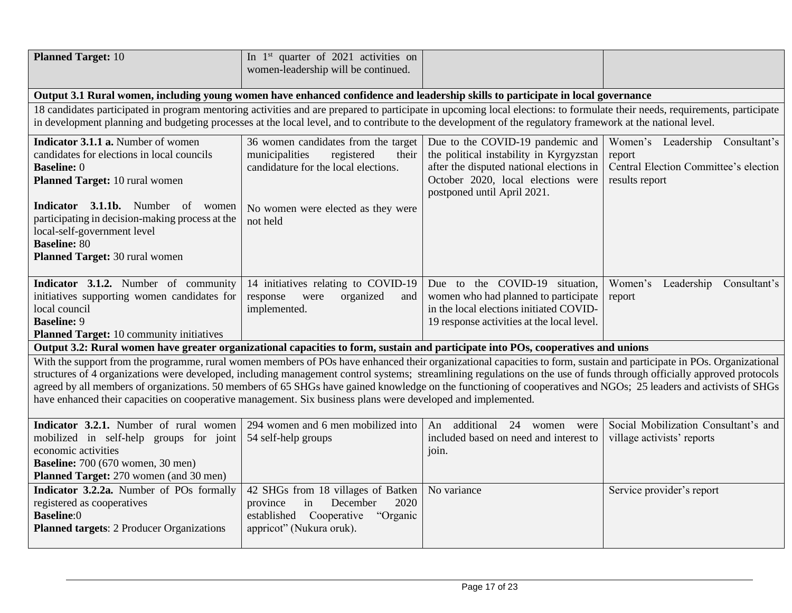| <b>Planned Target: 10</b>                                                                                                                                                                                                                                                                                                                                                                                                                                                                                                                                                                                                            | In $1st$ quarter of 2021 activities on<br>women-leadership will be continued.                                                                                          |                                                                                                                                                                                              |                                                                                                         |
|--------------------------------------------------------------------------------------------------------------------------------------------------------------------------------------------------------------------------------------------------------------------------------------------------------------------------------------------------------------------------------------------------------------------------------------------------------------------------------------------------------------------------------------------------------------------------------------------------------------------------------------|------------------------------------------------------------------------------------------------------------------------------------------------------------------------|----------------------------------------------------------------------------------------------------------------------------------------------------------------------------------------------|---------------------------------------------------------------------------------------------------------|
|                                                                                                                                                                                                                                                                                                                                                                                                                                                                                                                                                                                                                                      |                                                                                                                                                                        |                                                                                                                                                                                              |                                                                                                         |
| Output 3.1 Rural women, including young women have enhanced confidence and leadership skills to participate in local governance<br>18 candidates participated in program mentoring activities and are prepared to participate in upcoming local elections: to formulate their needs, requirements, participate<br>in development planning and budgeting processes at the local level, and to contribute to the development of the regulatory framework at the national level.                                                                                                                                                        |                                                                                                                                                                        |                                                                                                                                                                                              |                                                                                                         |
| Indicator 3.1.1 a. Number of women<br>candidates for elections in local councils<br><b>Baseline: 0</b><br>Planned Target: 10 rural women<br>Indicator 3.1.1b. Number of women<br>participating in decision-making process at the<br>local-self-government level<br><b>Baseline: 80</b><br>Planned Target: 30 rural women                                                                                                                                                                                                                                                                                                             | 36 women candidates from the target<br>municipalities<br>registered<br>their<br>candidature for the local elections.<br>No women were elected as they were<br>not held | Due to the COVID-19 pandemic and<br>the political instability in Kyrgyzstan<br>after the disputed national elections in<br>October 2020, local elections were<br>postponed until April 2021. | Women's Leadership<br>Consultant's<br>report<br>Central Election Committee's election<br>results report |
| Indicator 3.1.2. Number of community<br>initiatives supporting women candidates for<br>local council<br><b>Baseline: 9</b><br><b>Planned Target:</b> 10 community initiatives                                                                                                                                                                                                                                                                                                                                                                                                                                                        | 14 initiatives relating to COVID-19<br>organized<br>response<br>were<br>and<br>implemented.                                                                            | Due to the COVID-19 situation,<br>women who had planned to participate<br>in the local elections initiated COVID-<br>19 response activities at the local level.                              | Women's Leadership<br>Consultant's<br>report                                                            |
| Output 3.2: Rural women have greater organizational capacities to form, sustain and participate into POs, cooperatives and unions                                                                                                                                                                                                                                                                                                                                                                                                                                                                                                    |                                                                                                                                                                        |                                                                                                                                                                                              |                                                                                                         |
| With the support from the programme, rural women members of POs have enhanced their organizational capacities to form, sustain and participate in POs. Organizational<br>structures of 4 organizations were developed, including management control systems; streamlining regulations on the use of funds through officially approved protocols<br>agreed by all members of organizations. 50 members of 65 SHGs have gained knowledge on the functioning of cooperatives and NGOs; 25 leaders and activists of SHGs<br>have enhanced their capacities on cooperative management. Six business plans were developed and implemented. |                                                                                                                                                                        |                                                                                                                                                                                              |                                                                                                         |
| Indicator 3.2.1. Number of rural women<br>mobilized in self-help groups for joint<br>economic activities<br><b>Baseline:</b> 700 (670 women, 30 men)<br>Planned Target: 270 women (and 30 men)                                                                                                                                                                                                                                                                                                                                                                                                                                       | 294 women and 6 men mobilized into<br>54 self-help groups                                                                                                              | additional 24<br>An<br>women<br>were<br>included based on need and interest to<br>join.                                                                                                      | Social Mobilization Consultant's and<br>village activists' reports                                      |
| Indicator 3.2.2a. Number of POs formally<br>registered as cooperatives<br><b>Baseline:0</b><br>Planned targets: 2 Producer Organizations                                                                                                                                                                                                                                                                                                                                                                                                                                                                                             | 42 SHGs from 18 villages of Batken<br>December<br>2020<br>province<br>in<br>established Cooperative<br>"Organic<br>appricot" (Nukura oruk).                            | No variance                                                                                                                                                                                  | Service provider's report                                                                               |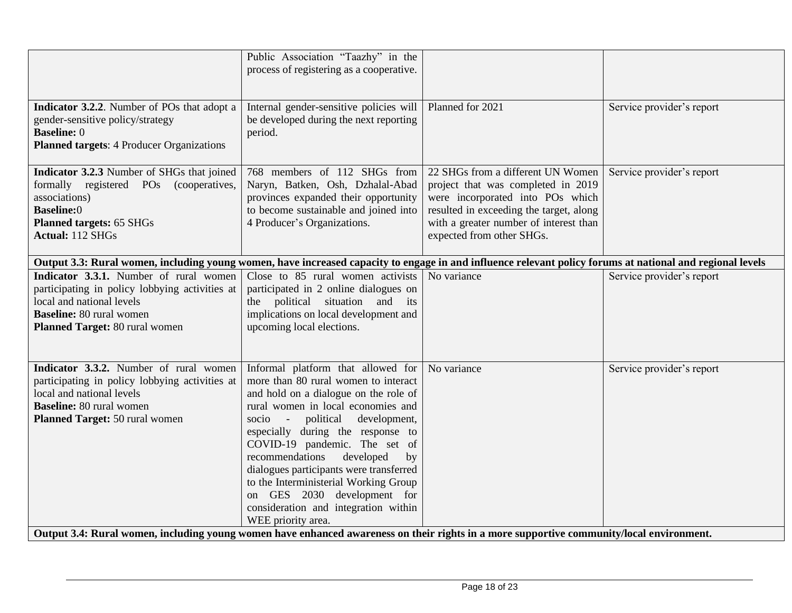| Public Association "Taazhy" in the<br>process of registering as a cooperative.                                                                                                                                                                                                                                                                                                                                                                                                                   |                                                                                                                                                                                                                               |                                                                                                                                                                                                                                                                                                                                                                                                   |
|--------------------------------------------------------------------------------------------------------------------------------------------------------------------------------------------------------------------------------------------------------------------------------------------------------------------------------------------------------------------------------------------------------------------------------------------------------------------------------------------------|-------------------------------------------------------------------------------------------------------------------------------------------------------------------------------------------------------------------------------|---------------------------------------------------------------------------------------------------------------------------------------------------------------------------------------------------------------------------------------------------------------------------------------------------------------------------------------------------------------------------------------------------|
| be developed during the next reporting<br>period.                                                                                                                                                                                                                                                                                                                                                                                                                                                | Planned for 2021                                                                                                                                                                                                              | Service provider's report                                                                                                                                                                                                                                                                                                                                                                         |
| 768 members of 112 SHGs from<br>Naryn, Batken, Osh, Dzhalal-Abad<br>provinces expanded their opportunity<br>to become sustainable and joined into<br>4 Producer's Organizations.                                                                                                                                                                                                                                                                                                                 | 22 SHGs from a different UN Women<br>project that was completed in 2019<br>were incorporated into POs which<br>resulted in exceeding the target, along<br>with a greater number of interest than<br>expected from other SHGs. | Service provider's report                                                                                                                                                                                                                                                                                                                                                                         |
|                                                                                                                                                                                                                                                                                                                                                                                                                                                                                                  |                                                                                                                                                                                                                               |                                                                                                                                                                                                                                                                                                                                                                                                   |
| participated in 2 online dialogues on<br>the political situation and its<br>implications on local development and<br>upcoming local elections.                                                                                                                                                                                                                                                                                                                                                   |                                                                                                                                                                                                                               | Service provider's report                                                                                                                                                                                                                                                                                                                                                                         |
| Informal platform that allowed for<br>more than 80 rural women to interact<br>and hold on a dialogue on the role of<br>rural women in local economies and<br>political<br>development,<br>$socio -$<br>especially during the response to<br>COVID-19 pandemic. The set of<br>recommendations<br>developed<br>by<br>dialogues participants were transferred<br>to the Interministerial Working Group<br>on GES 2030 development for<br>consideration and integration within<br>WEE priority area. | No variance                                                                                                                                                                                                                   | Service provider's report                                                                                                                                                                                                                                                                                                                                                                         |
|                                                                                                                                                                                                                                                                                                                                                                                                                                                                                                  |                                                                                                                                                                                                                               | Internal gender-sensitive policies will<br>Output 3.3: Rural women, including young women, have increased capacity to engage in and influence relevant policy forums at national and regional levels<br>Close to 85 rural women activists No variance<br>Output 3.4: Rural women, including young women have enhanced awareness on their rights in a more supportive community/local environment. |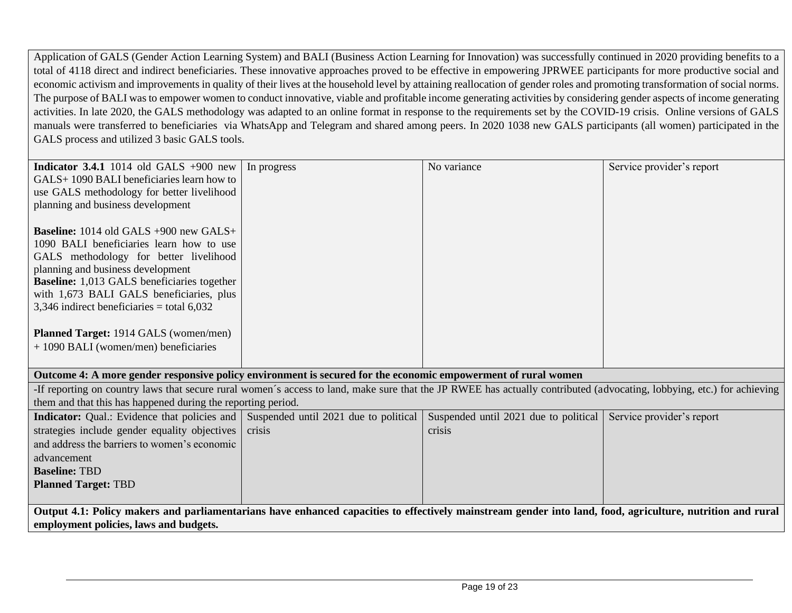Application of GALS (Gender Action Learning System) and BALI (Business Action Learning for Innovation) was successfully continued in 2020 providing benefits to a total of 4118 direct and indirect beneficiaries. These innovative approaches proved to be effective in empowering JPRWEE participants for more productive social and economic activism and improvements in quality of their lives at the household level by attaining reallocation of gender roles and promoting transformation of social norms. The purpose of BALI was to empower women to conduct innovative, viable and profitable income generating activities by considering gender aspects of income generating activities. In late 2020, the GALS methodology was adapted to an online format in response to the requirements set by the COVID-19 crisis. Online versions of GALS manuals were transferred to beneficiaries via WhatsApp and Telegram and shared among peers. In 2020 1038 new GALS participants (all women) participated in the GALS process and utilized 3 basic GALS tools.

| <b>Indicator 3.4.1</b> 1014 old GALS $+900$ new                                                                                                                       | In progress                           | No variance                           | Service provider's report |
|-----------------------------------------------------------------------------------------------------------------------------------------------------------------------|---------------------------------------|---------------------------------------|---------------------------|
| GALS+1090 BALI beneficiaries learn how to                                                                                                                             |                                       |                                       |                           |
| use GALS methodology for better livelihood                                                                                                                            |                                       |                                       |                           |
| planning and business development                                                                                                                                     |                                       |                                       |                           |
|                                                                                                                                                                       |                                       |                                       |                           |
| <b>Baseline:</b> 1014 old GALS +900 new GALS+                                                                                                                         |                                       |                                       |                           |
| 1090 BALI beneficiaries learn how to use                                                                                                                              |                                       |                                       |                           |
| GALS methodology for better livelihood                                                                                                                                |                                       |                                       |                           |
| planning and business development                                                                                                                                     |                                       |                                       |                           |
| <b>Baseline:</b> 1,013 GALS beneficiaries together                                                                                                                    |                                       |                                       |                           |
| with 1,673 BALI GALS beneficiaries, plus                                                                                                                              |                                       |                                       |                           |
| 3,346 indirect beneficiaries = total $6,032$                                                                                                                          |                                       |                                       |                           |
|                                                                                                                                                                       |                                       |                                       |                           |
| <b>Planned Target:</b> 1914 GALS (women/men)                                                                                                                          |                                       |                                       |                           |
| + 1090 BALI (women/men) beneficiaries                                                                                                                                 |                                       |                                       |                           |
|                                                                                                                                                                       |                                       |                                       |                           |
| Outcome 4: A more gender responsive policy environment is secured for the economic empowerment of rural women                                                         |                                       |                                       |                           |
| If reporting on country laws that secure rural women's access to land, make sure that the JP RWEE has actually contributed (advocating, lobbying, etc.) for achieving |                                       |                                       |                           |
| them and that this has happened during the reporting period.                                                                                                          |                                       |                                       |                           |
| <b>Indicator:</b> Qual.: Evidence that policies and                                                                                                                   | Suspended until 2021 due to political | Suspended until 2021 due to political | Service provider's report |
| strategies include gender equality objectives                                                                                                                         | crisis                                | crisis                                |                           |
| and address the barriers to women's economic                                                                                                                          |                                       |                                       |                           |
| advancement                                                                                                                                                           |                                       |                                       |                           |
| <b>Baseline: TBD</b>                                                                                                                                                  |                                       |                                       |                           |
| <b>Planned Target: TBD</b>                                                                                                                                            |                                       |                                       |                           |
|                                                                                                                                                                       |                                       |                                       |                           |
|                                                                                                                                                                       |                                       |                                       |                           |
| Output 4.1: Policy makers and parliamentarians have enhanced capacities to effectively mainstream gender into land, food, agriculture, nutrition and rural            |                                       |                                       |                           |
| employment policies, laws and budgets.                                                                                                                                |                                       |                                       |                           |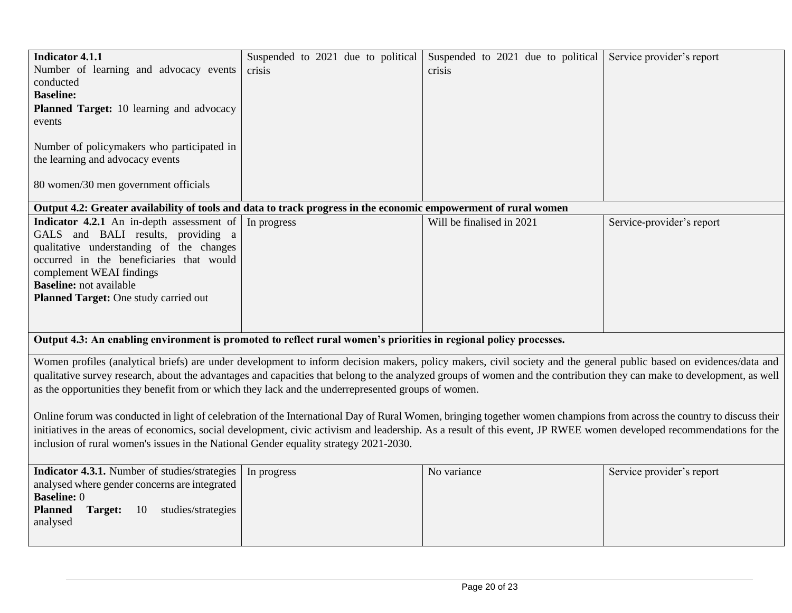| <b>Indicator 4.1.1</b><br>Number of learning and advocacy events<br>conducted<br><b>Baseline:</b><br>Planned Target: 10 learning and advocacy<br>events<br>Number of policymakers who participated in<br>the learning and advocacy events<br>80 women/30 men government officials                                                                                                                                                                                                                                                                                                                                                                                                                                                                                                                                                                                                                | Suspended to 2021 due to political<br>crisis | Suspended to 2021 due to political<br>crisis | Service provider's report |
|--------------------------------------------------------------------------------------------------------------------------------------------------------------------------------------------------------------------------------------------------------------------------------------------------------------------------------------------------------------------------------------------------------------------------------------------------------------------------------------------------------------------------------------------------------------------------------------------------------------------------------------------------------------------------------------------------------------------------------------------------------------------------------------------------------------------------------------------------------------------------------------------------|----------------------------------------------|----------------------------------------------|---------------------------|
| Output 4.2: Greater availability of tools and data to track progress in the economic empowerment of rural women                                                                                                                                                                                                                                                                                                                                                                                                                                                                                                                                                                                                                                                                                                                                                                                  |                                              |                                              |                           |
| Indicator 4.2.1 An in-depth assessment of<br>GALS and BALI results, providing a<br>qualitative understanding of the changes<br>occurred in the beneficiaries that would<br>complement WEAI findings<br><b>Baseline:</b> not available<br>Planned Target: One study carried out                                                                                                                                                                                                                                                                                                                                                                                                                                                                                                                                                                                                                   | In progress                                  | Will be finalised in 2021                    | Service-provider's report |
| Output 4.3: An enabling environment is promoted to reflect rural women's priorities in regional policy processes.                                                                                                                                                                                                                                                                                                                                                                                                                                                                                                                                                                                                                                                                                                                                                                                |                                              |                                              |                           |
| Women profiles (analytical briefs) are under development to inform decision makers, policy makers, civil society and the general public based on evidences/data and<br>qualitative survey research, about the advantages and capacities that belong to the analyzed groups of women and the contribution they can make to development, as well<br>as the opportunities they benefit from or which they lack and the underrepresented groups of women.<br>Online forum was conducted in light of celebration of the International Day of Rural Women, bringing together women champions from across the country to discuss their<br>initiatives in the areas of economics, social development, civic activism and leadership. As a result of this event, JP RWEE women developed recommendations for the<br>inclusion of rural women's issues in the National Gender equality strategy 2021-2030. |                                              |                                              |                           |
| Indicator 4.3.1. Number of studies/strategies<br>analysed where gender concerns are integrated<br><b>Baseline: 0</b><br><b>Planned</b><br>Target:<br>studies/strategies<br>10<br>analysed                                                                                                                                                                                                                                                                                                                                                                                                                                                                                                                                                                                                                                                                                                        | In progress                                  | No variance                                  | Service provider's report |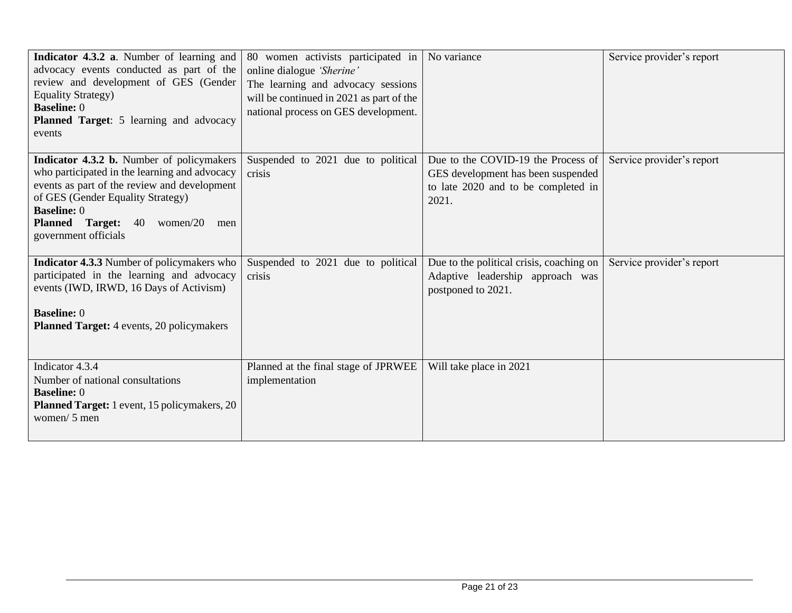| Indicator 4.3.2 a. Number of learning and<br>advocacy events conducted as part of the<br>review and development of GES (Gender<br><b>Equality Strategy)</b><br><b>Baseline: 0</b><br><b>Planned Target:</b> 5 learning and advocacy<br>events | 80 women activists participated in<br>online dialogue 'Sherine'<br>The learning and advocacy sessions<br>will be continued in 2021 as part of the<br>national process on GES development. | No variance                                                                  | Service provider's report |
|-----------------------------------------------------------------------------------------------------------------------------------------------------------------------------------------------------------------------------------------------|-------------------------------------------------------------------------------------------------------------------------------------------------------------------------------------------|------------------------------------------------------------------------------|---------------------------|
| Indicator 4.3.2 b. Number of policymakers                                                                                                                                                                                                     | Suspended to 2021 due to political                                                                                                                                                        | Due to the COVID-19 the Process of                                           | Service provider's report |
| who participated in the learning and advocacy                                                                                                                                                                                                 | crisis                                                                                                                                                                                    | GES development has been suspended                                           |                           |
| events as part of the review and development<br>of GES (Gender Equality Strategy)                                                                                                                                                             |                                                                                                                                                                                           | to late 2020 and to be completed in                                          |                           |
| <b>Baseline: 0</b>                                                                                                                                                                                                                            |                                                                                                                                                                                           | 2021.                                                                        |                           |
| <b>Planned Target: 40</b><br>women/ $20$<br>men                                                                                                                                                                                               |                                                                                                                                                                                           |                                                                              |                           |
| government officials                                                                                                                                                                                                                          |                                                                                                                                                                                           |                                                                              |                           |
|                                                                                                                                                                                                                                               |                                                                                                                                                                                           |                                                                              |                           |
| <b>Indicator 4.3.3</b> Number of policymakers who<br>participated in the learning and advocacy                                                                                                                                                | Suspended to 2021 due to political<br>crisis                                                                                                                                              | Due to the political crisis, coaching on<br>Adaptive leadership approach was | Service provider's report |
| events (IWD, IRWD, 16 Days of Activism)                                                                                                                                                                                                       |                                                                                                                                                                                           | postponed to 2021.                                                           |                           |
|                                                                                                                                                                                                                                               |                                                                                                                                                                                           |                                                                              |                           |
| <b>Baseline: 0</b>                                                                                                                                                                                                                            |                                                                                                                                                                                           |                                                                              |                           |
| <b>Planned Target:</b> 4 events, 20 policymakers                                                                                                                                                                                              |                                                                                                                                                                                           |                                                                              |                           |
|                                                                                                                                                                                                                                               |                                                                                                                                                                                           |                                                                              |                           |
| Indicator 4.3.4                                                                                                                                                                                                                               | Planned at the final stage of JPRWEE                                                                                                                                                      | Will take place in 2021                                                      |                           |
| Number of national consultations                                                                                                                                                                                                              | implementation                                                                                                                                                                            |                                                                              |                           |
| <b>Baseline: 0</b>                                                                                                                                                                                                                            |                                                                                                                                                                                           |                                                                              |                           |
| Planned Target: 1 event, 15 policymakers, 20<br>women/ 5 men                                                                                                                                                                                  |                                                                                                                                                                                           |                                                                              |                           |
|                                                                                                                                                                                                                                               |                                                                                                                                                                                           |                                                                              |                           |
|                                                                                                                                                                                                                                               |                                                                                                                                                                                           |                                                                              |                           |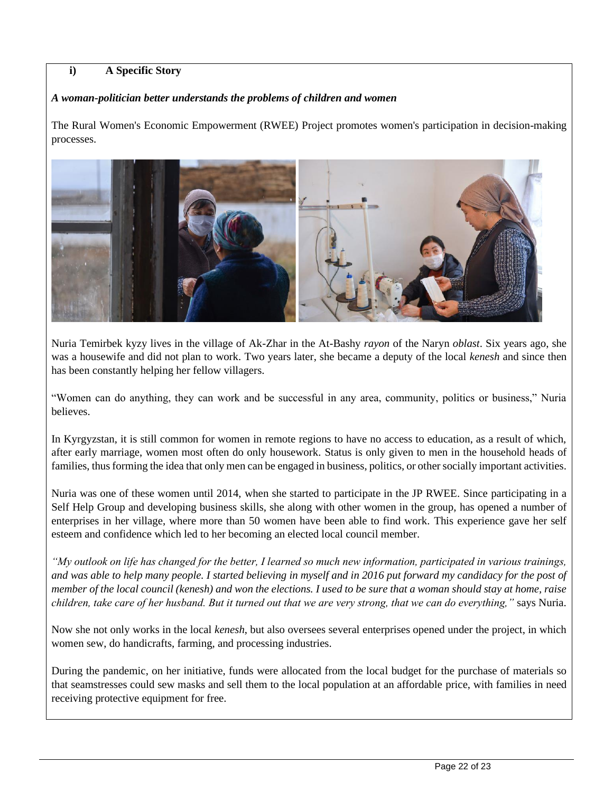# **i) A Specific Story**

#### *A woman-politician better understands the problems of children and women*

The Rural Women's Economic Empowerment (RWEE) Project promotes women's participation in decision-making processes.



Nuria Temirbek kyzy lives in the village of Ak-Zhar in the At-Bashy *rayon* of the Naryn *oblast*. Six years ago, she was a housewife and did not plan to work. Two years later, she became a deputy of the local *kenesh* and since then has been constantly helping her fellow villagers.

"Women can do anything, they can work and be successful in any area, community, politics or business," Nuria believes.

In Kyrgyzstan, it is still common for women in remote regions to have no access to education, as a result of which, after early marriage, women most often do only housework. Status is only given to men in the household heads of families, thus forming the idea that only men can be engaged in business, politics, or other socially important activities.

Nuria was one of these women until 2014, when she started to participate in the JP RWEE. Since participating in a Self Help Group and developing business skills, she along with other women in the group, has opened a number of enterprises in her village, where more than 50 women have been able to find work. This experience gave her self esteem and confidence which led to her becoming an elected local council member.

*"My outlook on life has changed for the better, I learned so much new information, participated in various trainings,*  and was able to help many people. I started believing in myself and in 2016 put forward my candidacy for the post of *member of the local council (kenesh) and won the elections. I used to be sure that a woman should stay at home, raise children, take care of her husband. But it turned out that we are very strong, that we can do everything,"* says Nuria.

Now she not only works in the local *kenesh*, but also oversees several enterprises opened under the project, in which women sew, do handicrafts, farming, and processing industries.

During the pandemic, on her initiative, funds were allocated from the local budget for the purchase of materials so that seamstresses could sew masks and sell them to the local population at an affordable price, with families in need receiving protective equipment for free.